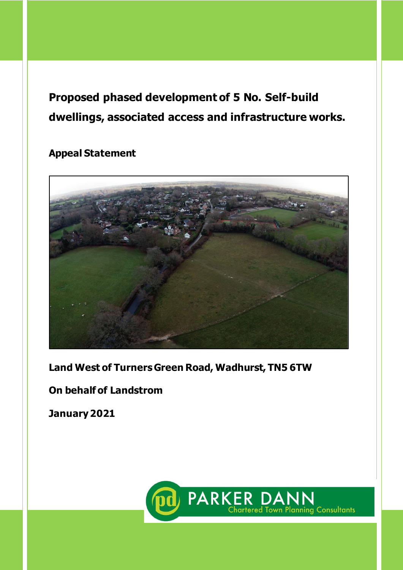# **Proposed phased development of 5 No. Self-build dwellings, associated access and infrastructure works.**

# **Appeal Statement**



**Land West of Turners Green Road, Wadhurst, TN5 6TW**

# **On behalf of Landstrom**

**January 2021**

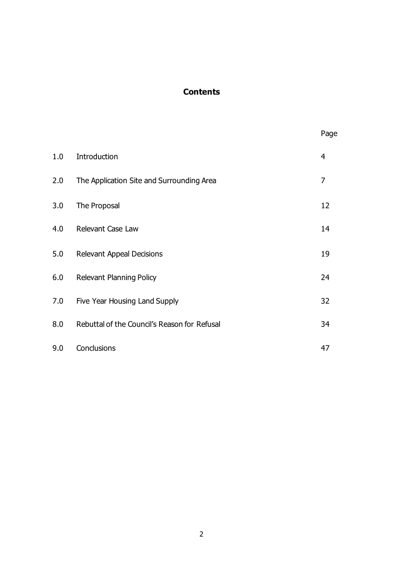# **Contents**

|     |                                              | Page           |
|-----|----------------------------------------------|----------------|
| 1.0 | Introduction                                 | $\overline{4}$ |
| 2.0 | The Application Site and Surrounding Area    | 7              |
| 3.0 | The Proposal                                 | 12             |
| 4.0 | Relevant Case Law                            | 14             |
| 5.0 | <b>Relevant Appeal Decisions</b>             | 19             |
| 6.0 | <b>Relevant Planning Policy</b>              | 24             |
| 7.0 | Five Year Housing Land Supply                | 32             |
| 8.0 | Rebuttal of the Council's Reason for Refusal | 34             |
| 9.0 | Conclusions                                  | 47             |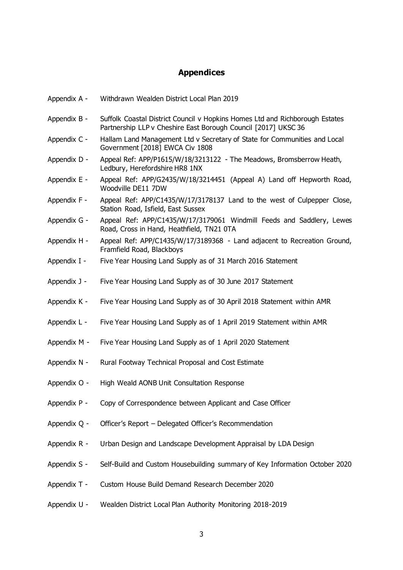# **Appendices**

| Appendix A - | Withdrawn Wealden District Local Plan 2019                                                                                                     |
|--------------|------------------------------------------------------------------------------------------------------------------------------------------------|
| Appendix B - | Suffolk Coastal District Council v Hopkins Homes Ltd and Richborough Estates<br>Partnership LLP v Cheshire East Borough Council [2017] UKSC 36 |
| Appendix C - | Hallam Land Management Ltd v Secretary of State for Communities and Local<br>Government [2018] EWCA Civ 1808                                   |
| Appendix D - | Appeal Ref: APP/P1615/W/18/3213122 - The Meadows, Bromsberrow Heath,<br>Ledbury, Herefordshire HR8 1NX                                         |
| Appendix E - | Appeal Ref: APP/G2435/W/18/3214451 (Appeal A) Land off Hepworth Road,<br>Woodville DE11 7DW                                                    |
| Appendix F - | Appeal Ref: APP/C1435/W/17/3178137 Land to the west of Culpepper Close,<br>Station Road, Isfield, East Sussex                                  |
| Appendix G - | Appeal Ref: APP/C1435/W/17/3179061 Windmill Feeds and Saddlery, Lewes<br>Road, Cross in Hand, Heathfield, TN21 0TA                             |
| Appendix H - | Appeal Ref: APP/C1435/W/17/3189368 - Land adjacent to Recreation Ground,<br>Framfield Road, Blackboys                                          |
| Appendix I - | Five Year Housing Land Supply as of 31 March 2016 Statement                                                                                    |
| Appendix J - | Five Year Housing Land Supply as of 30 June 2017 Statement                                                                                     |
| Appendix K - | Five Year Housing Land Supply as of 30 April 2018 Statement within AMR                                                                         |
| Appendix L - | Five Year Housing Land Supply as of 1 April 2019 Statement within AMR                                                                          |
| Appendix M - | Five Year Housing Land Supply as of 1 April 2020 Statement                                                                                     |
| Appendix N - | Rural Footway Technical Proposal and Cost Estimate                                                                                             |
| Appendix O - | High Weald AONB Unit Consultation Response                                                                                                     |
| Appendix P - | Copy of Correspondence between Applicant and Case Officer                                                                                      |
| Appendix Q - | Officer's Report - Delegated Officer's Recommendation                                                                                          |
| Appendix R - | Urban Design and Landscape Development Appraisal by LDA Design                                                                                 |
| Appendix S - | Self-Build and Custom Housebuilding summary of Key Information October 2020                                                                    |
| Appendix T - | Custom House Build Demand Research December 2020                                                                                               |
| Appendix U - | Wealden District Local Plan Authority Monitoring 2018-2019                                                                                     |
|              |                                                                                                                                                |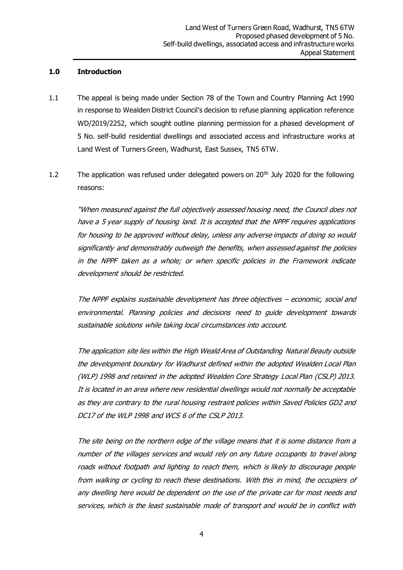#### **1.0 Introduction**

- 1.1 The appeal is being made under Section 78 of the Town and Country Planning Act 1990 in response to Wealden District Council's decision to refuse planning application reference WD/2019/2252, which sought outline planning permission for a phased development of 5 No. self-build residential dwellings and associated access and infrastructure works at Land West of Turners Green, Wadhurst, East Sussex, TN5 6TW.
- 1.2 The application was refused under delegated powers on  $20<sup>th</sup>$  July 2020 for the following reasons:

"When measured against the full objectively assessed housing need, the Council does not have a 5 year supply of housing land. It is accepted that the NPPF requires applications for housing to be approved without delay, unless any adverse impacts of doing so would significantly and demonstrably outweigh the benefits, when assessed against the policies in the NPPF taken as a whole; or when specific policies in the Framework indicate development should be restricted.

The NPPF explains sustainable development has three objectives – economic, social and environmental. Planning policies and decisions need to guide development towards sustainable solutions while taking local circumstances into account.

The application site lies within the High Weald Area of Outstanding Natural Beauty outside the development boundary for Wadhurst defined within the adopted Wealden Local Plan (WLP) 1998 and retained in the adopted Wealden Core Strategy Local Plan (CSLP) 2013. It is located in an area where new residential dwellings would not normally be acceptable as they are contrary to the rural housing restraint policies within Saved Policies GD2 and DC17 of the WLP 1998 and WCS 6 of the CSLP 2013.

The site being on the northern edge of the village means that it is some distance from a number of the villages services and would rely on any future occupants to travel along roads without footpath and lighting to reach them, which is likely to discourage people from walking or cycling to reach these destinations. With this in mind, the occupiers of any dwelling here would be dependent on the use of the private car for most needs and services, which is the least sustainable mode of transport and would be in conflict with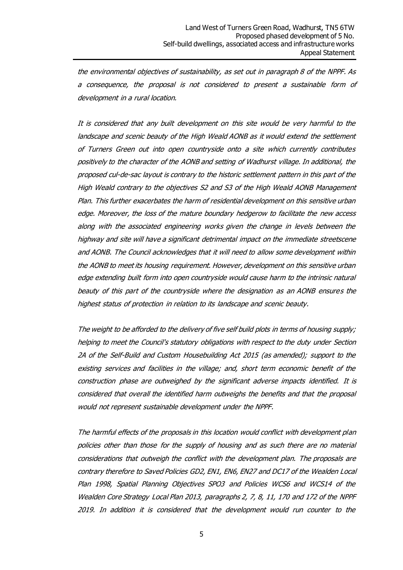the environmental objectives of sustainability, as set out in paragraph 8 of the NPPF. As a consequence, the proposal is not considered to present a sustainable form of development in a rural location.

It is considered that any built development on this site would be very harmful to the landscape and scenic beauty of the High Weald AONB as it would extend the settlement of Turners Green out into open countryside onto a site which currently contributes positively to the character of the AONB and setting of Wadhurst village. In additional, the proposed cul-de-sac layout is contrary to the historic settlement pattern in this part of the High Weald contrary to the objectives S2 and S3 of the High Weald AONB Management Plan. This further exacerbates the harm of residential development on this sensitive urban edge. Moreover, the loss of the mature boundary hedgerow to facilitate the new access along with the associated engineering works given the change in levels between the highway and site will have a significant detrimental impact on the immediate streetscene and AONB. The Council acknowledges that it will need to allow some development within the AONB to meet its housing requirement. However, development on this sensitive urban edge extending built form into open countryside would cause harm to the intrinsic natural beauty of this part of the countryside where the designation as an AONB ensures the highest status of protection in relation to its landscape and scenic beauty.

The weight to be afforded to the delivery of five self build plots in terms of housing supply; helping to meet the Council's statutory obligations with respect to the duty under Section 2A of the Self-Build and Custom Housebuilding Act 2015 (as amended); support to the existing services and facilities in the village; and, short term economic benefit of the construction phase are outweighed by the significant adverse impacts identified. It is considered that overall the identified harm outweighs the benefits and that the proposal would not represent sustainable development under the NPPF.

The harmful effects of the proposals in this location would conflict with development plan policies other than those for the supply of housing and as such there are no material considerations that outweigh the conflict with the development plan. The proposals are contrary therefore to Saved Policies GD2, EN1, EN6, EN27 and DC17 of the Wealden Local Plan 1998, Spatial Planning Objectives SPO3 and Policies WCS6 and WCS14 of the Wealden Core Strategy Local Plan 2013, paragraphs 2, 7, 8, 11, 170 and 172 of the NPPF 2019. In addition it is considered that the development would run counter to the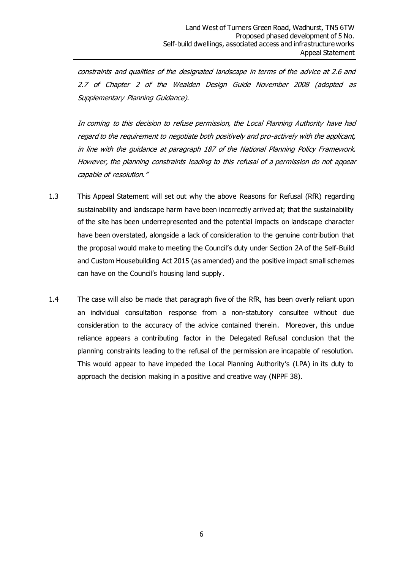constraints and qualities of the designated landscape in terms of the advice at 2.6 and 2.7 of Chapter 2 of the Wealden Design Guide November 2008 (adopted as Supplementary Planning Guidance).

In coming to this decision to refuse permission, the Local Planning Authority have had regard to the requirement to negotiate both positively and pro-actively with the applicant, in line with the guidance at paragraph 187 of the National Planning Policy Framework. However, the planning constraints leading to this refusal of a permission do not appear capable of resolution."

- 1.3 This Appeal Statement will set out why the above Reasons for Refusal (RfR) regarding sustainability and landscape harm have been incorrectly arrived at; that the sustainability of the site has been underrepresented and the potential impacts on landscape character have been overstated, alongside a lack of consideration to the genuine contribution that the proposal would make to meeting the Council's duty under Section 2A of the Self-Build and Custom Housebuilding Act 2015 (as amended) and the positive impact small schemes can have on the Council's housing land supply.
- 1.4 The case will also be made that paragraph five of the RfR, has been overly reliant upon an individual consultation response from a non-statutory consultee without due consideration to the accuracy of the advice contained therein. Moreover, this undue reliance appears a contributing factor in the Delegated Refusal conclusion that the planning constraints leading to the refusal of the permission are incapable of resolution. This would appear to have impeded the Local Planning Authority's (LPA) in its duty to approach the decision making in a positive and creative way (NPPF 38).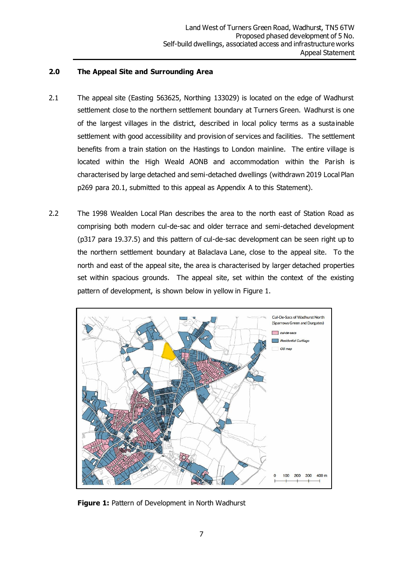#### **2.0 The Appeal Site and Surrounding Area**

- 2.1 The appeal site (Easting 563625, Northing 133029) is located on the edge of Wadhurst settlement close to the northern settlement boundary at Turners Green. Wadhurst is one of the largest villages in the district, described in local policy terms as a sustainable settlement with good accessibility and provision of services and facilities. The settlement benefits from a train station on the Hastings to London mainline. The entire village is located within the High Weald AONB and accommodation within the Parish is characterised by large detached and semi-detached dwellings (withdrawn 2019 Local Plan p269 para 20.1, submitted to this appeal as Appendix A to this Statement).
- 2.2 The 1998 Wealden Local Plan describes the area to the north east of Station Road as comprising both modern cul-de-sac and older terrace and semi-detached development (p317 para 19.37.5) and this pattern of cul-de-sac development can be seen right up to the northern settlement boundary at Balaclava Lane, close to the appeal site. To the north and east of the appeal site, the area is characterised by larger detached properties set within spacious grounds. The appeal site, set within the context of the existing pattern of development, is shown below in yellow in Figure 1.



**Figure 1: Pattern of Development in North Wadhurst**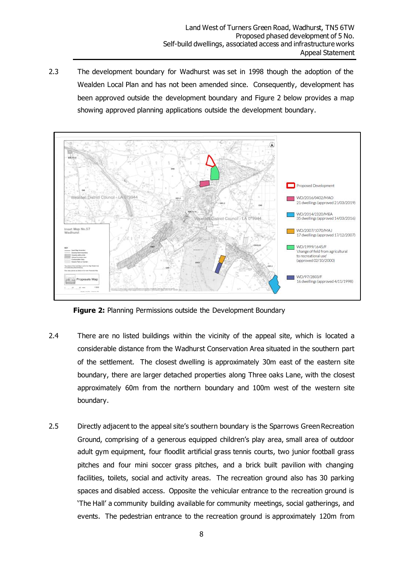2.3 The development boundary for Wadhurst was set in 1998 though the adoption of the Wealden Local Plan and has not been amended since. Consequently, development has been approved outside the development boundary and Figure 2 below provides a map showing approved planning applications outside the development boundary.



**Figure 2:** Planning Permissions outside the Development Boundary

- 2.4 There are no listed buildings within the vicinity of the appeal site, which is located a considerable distance from the Wadhurst Conservation Area situated in the southern part of the settlement. The closest dwelling is approximately 30m east of the eastern site boundary, there are larger detached properties along Three oaks Lane, with the closest approximately 60m from the northern boundary and 100m west of the western site boundary.
- 2.5 Directly adjacent to the appeal site's southern boundary is the Sparrows Green Recreation Ground, comprising of a generous equipped children's play area, small area of outdoor adult gym equipment, four floodlit artificial grass tennis courts, two junior football grass pitches and four mini soccer grass pitches, and a brick built pavilion with changing facilities, toilets, social and activity areas. The recreation ground also has 30 parking spaces and disabled access. Opposite the vehicular entrance to the recreation ground is 'The Hall' a community building available for community meetings, social gatherings, and events. The pedestrian entrance to the recreation ground is approximately 120m from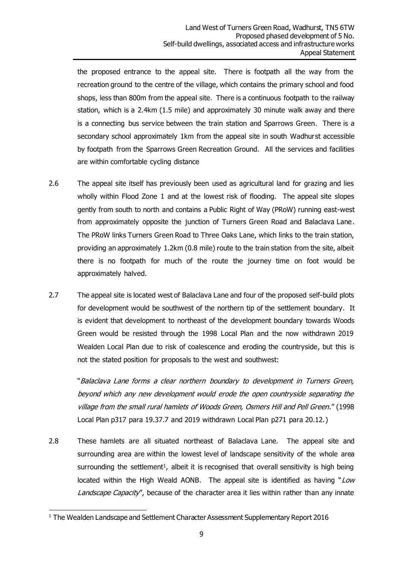the proposed entrance to the appeal site. There is footpath all the way from the recreation ground to the centre of the village, which contains the primary school and food shops, less than 800m from the appeal site. There is a continuous footpath to the railway station, which is a 2.4km (1.5 mile) and approximately 30 minute walk away and there is a connecting bus service between the train station and Sparrows Green. There is a secondary school approximately 1km from the appeal site in south Wadhurst accessible by footpath from the Sparrows Green Recreation Ground. All the services and facilities are within comfortable cycling distance

- 2.6 The appeal site itself has previously been used as agricultural land for grazing and lies wholly within Flood Zone 1 and at the lowest risk of flooding. The appeal site slopes gently from south to north and contains a Public Right of Way (PRoW) running east-west from approximately opposite the junction of Turners Green Road and Balaclava Lane. The PRoW links Turners Green Road to Three Oaks Lane, which links to the train station, providing an approximately 1.2km (0.8 mile) route to the train station from the site, albeit there is no footpath for much of the route the journey time on foot would be approximately halved.
- 2.7 The appeal site is located west of Balaclava Lane and four of the proposed self-build plots for development would be southwest of the northern tip of the settlement boundary. It is evident that development to northeast of the development boundary towards Woods Green would be resisted through the 1998 Local Plan and the now withdrawn 2019 Wealden Local Plan due to risk of coalescence and eroding the countryside, but this is not the stated position for proposals to the west and southwest:

"Balaclava Lane forms a clear northern boundary to development in Turners Green, beyond which any new development would erode the open countryside separating the village from the small rural hamlets of Woods Green, Osmers Hill and Pell Green." (1998 Local Plan p317 para 19.37.7 and 2019 withdrawn Local Plan p271 para 20.12.)

2.8 These hamlets are all situated northeast of Balaclava Lane. The appeal site and surrounding area are within the lowest level of landscape sensitivity of the whole area surrounding the settlement<sup>1</sup>, albeit it is recognised that overall sensitivity is high being located within the High Weald AONB. The appeal site is identified as having " $Low$ Landscape Capacity", because of the character area it lies within rather than any innate

<sup>&</sup>lt;sup>1</sup> The Wealden Landscape and Settlement Character Assessment Supplementary Report 2016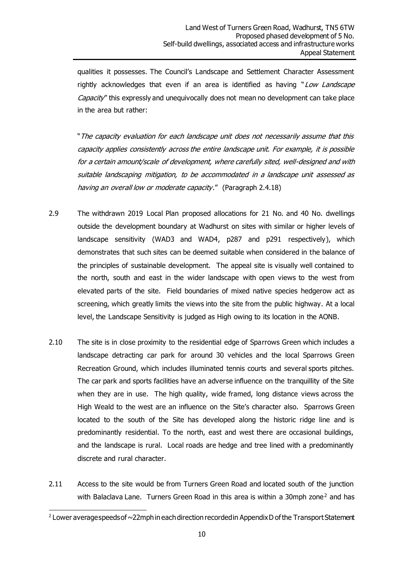qualities it possesses. The Council's Landscape and Settlement Character Assessment rightly acknowledges that even if an area is identified as having "Low Landscape Capacity" this expressly and unequivocally does not mean no development can take place in the area but rather:

"The capacity evaluation for each landscape unit does not necessarily assume that this capacity applies consistently across the entire landscape unit. For example, it is possible for a certain amount/scale of development, where carefully sited, well-designed and with suitable landscaping mitigation, to be accommodated in a landscape unit assessed as having an overall low or moderate capacity." (Paragraph 2.4.18)

- 2.9 The withdrawn 2019 Local Plan proposed allocations for 21 No. and 40 No. dwellings outside the development boundary at Wadhurst on sites with similar or higher levels of landscape sensitivity (WAD3 and WAD4, p287 and p291 respectively), which demonstrates that such sites can be deemed suitable when considered in the balance of the principles of sustainable development. The appeal site is visually well contained to the north, south and east in the wider landscape with open views to the west from elevated parts of the site. Field boundaries of mixed native species hedgerow act as screening, which greatly limits the views into the site from the public highway. At a local level, the Landscape Sensitivity is judged as High owing to its location in the AONB.
- 2.10 The site is in close proximity to the residential edge of Sparrows Green which includes a landscape detracting car park for around 30 vehicles and the local Sparrows Green Recreation Ground, which includes illuminated tennis courts and several sports pitches. The car park and sports facilities have an adverse influence on the tranquillity of the Site when they are in use. The high quality, wide framed, long distance views across the High Weald to the west are an influence on the Site's character also. Sparrows Green located to the south of the Site has developed along the historic ridge line and is predominantly residential. To the north, east and west there are occasional buildings, and the landscape is rural. Local roads are hedge and tree lined with a predominantly discrete and rural character.
- 2.11 Access to the site would be from Turners Green Road and located south of the junction with Balaclava Lane. Turners Green Road in this area is within a 30mph zone<sup>2</sup> and has

 $^2$  Lower average speeds of  $\sim$ 22mph in each direction recorded in Appendix D of the Transport Statement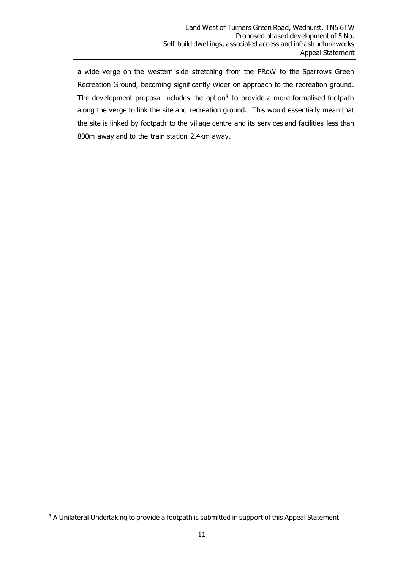a wide verge on the western side stretching from the PRoW to the Sparrows Green Recreation Ground, becoming significantly wider on approach to the recreation ground. The development proposal includes the option $3$  to provide a more formalised footpath along the verge to link the site and recreation ground. This would essentially mean that the site is linked by footpath to the village centre and its services and facilities less than 800m away and to the train station 2.4km away.

<sup>&</sup>lt;sup>3</sup> A Unilateral Undertaking to provide a footpath is submitted in support of this Appeal Statement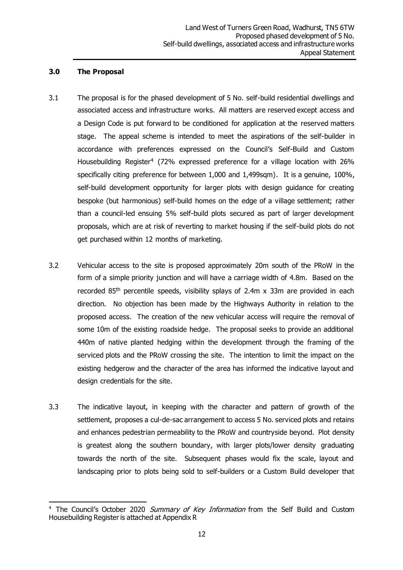#### **3.0 The Proposal**

- 3.1 The proposal is for the phased development of 5 No. self-build residential dwellings and associated access and infrastructure works. All matters are reserved except access and a Design Code is put forward to be conditioned for application at the reserved matters stage. The appeal scheme is intended to meet the aspirations of the self-builder in accordance with preferences expressed on the Council's Self-Build and Custom Housebuilding Register<sup>4</sup> (72% expressed preference for a village location with 26% specifically citing preference for between 1,000 and 1,499sqm). It is a genuine, 100%, self-build development opportunity for larger plots with design guidance for creating bespoke (but harmonious) self-build homes on the edge of a village settlement; rather than a council-led ensuing 5% self-build plots secured as part of larger development proposals, which are at risk of reverting to market housing if the self-build plots do not get purchased within 12 months of marketing.
- 3.2 Vehicular access to the site is proposed approximately 20m south of the PRoW in the form of a simple priority junction and will have a carriage width of 4.8m. Based on the recorded  $85<sup>th</sup>$  percentile speeds, visibility splays of 2.4m x 33m are provided in each direction. No objection has been made by the Highways Authority in relation to the proposed access. The creation of the new vehicular access will require the removal of some 10m of the existing roadside hedge. The proposal seeks to provide an additional 440m of native planted hedging within the development through the framing of the serviced plots and the PRoW crossing the site. The intention to limit the impact on the existing hedgerow and the character of the area has informed the indicative layout and design credentials for the site.
- 3.3 The indicative layout, in keeping with the character and pattern of growth of the settlement, proposes a cul-de-sac arrangement to access 5 No. serviced plots and retains and enhances pedestrian permeability to the PRoW and countryside beyond. Plot density is greatest along the southern boundary, with larger plots/lower density graduating towards the north of the site. Subsequent phases would fix the scale, layout and landscaping prior to plots being sold to self-builders or a Custom Build developer that

<sup>&</sup>lt;sup>4</sup> The Council's October 2020 Summary of Key Information from the Self Build and Custom Housebuilding Register is attached at Appendix R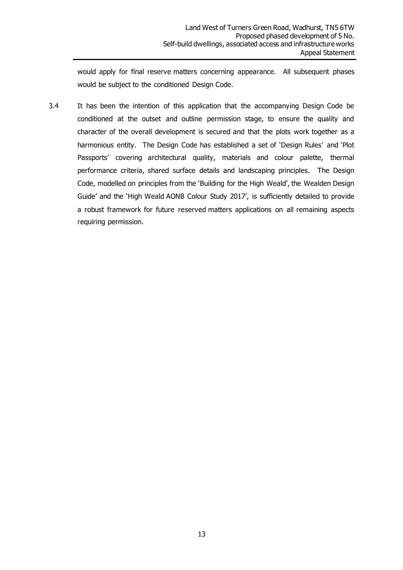would apply for final reserve matters concerning appearance. All subsequent phases would be subject to the conditioned Design Code.

3.4 It has been the intention of this application that the accompanying Design Code be conditioned at the outset and outline permission stage, to ensure the quality and character of the overall development is secured and that the plots work together as a harmonious entity. The Design Code has established a set of 'Design Rules' and 'Plot Passports' covering architectural quality, materials and colour palette, thermal performance criteria, shared surface details and landscaping principles. The Design Code, modelled on principles from the 'Building for the High Weald', the Wealden Design Guide' and the 'High Weald AONB Colour Study 2017', is sufficiently detailed to provide a robust framework for future reserved matters applications on all remaining aspects requiring permission.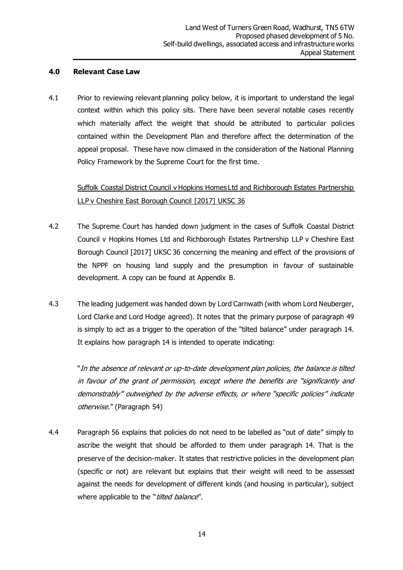#### **4.0 Relevant Case Law**

4.1 Prior to reviewing relevant planning policy below, it is important to understand the legal context within which this policy sits. There have been several notable cases recently which materially affect the weight that should be attributed to particular policies contained within the Development Plan and therefore affect the determination of the appeal proposal. These have now climaxed in the consideration of the National Planning Policy Framework by the Supreme Court for the first time.

# Suffolk Coastal District Council v Hopkins Homes Ltd and Richborough Estates Partnership LLP v Cheshire East Borough Council [2017] UKSC 36

- 4.2 The Supreme Court has handed down judgment in the cases of Suffolk Coastal District Council v Hopkins Homes Ltd and Richborough Estates Partnership LLP v Cheshire East Borough Council [2017] UKSC 36 concerning the meaning and effect of the provisions of the NPPF on housing land supply and the presumption in favour of sustainable development. A copy can be found at Appendix B.
- 4.3 The leading judgement was handed down by Lord Carnwath (with whom Lord Neuberger, Lord Clarke and Lord Hodge agreed). It notes that the primary purpose of paragraph 49 is simply to act as a trigger to the operation of the "tilted balance" under paragraph 14. It explains how paragraph 14 is intended to operate indicating:

"In the absence of relevant or up-to-date development plan policies, the balance is tilted in favour of the grant of permission, except where the benefits are "significantly and demonstrably" outweighed by the adverse effects, or where "specific policies" indicate otherwise." (Paragraph 54)

4.4 Paragraph 56 explains that policies do not need to be labelled as "out of date" simply to ascribe the weight that should be afforded to them under paragraph 14. That is the preserve of the decision-maker. It states that restrictive policies in the development plan (specific or not) are relevant but explains that their weight will need to be assessed against the needs for development of different kinds (and housing in particular), subject where applicable to the "tilted balance".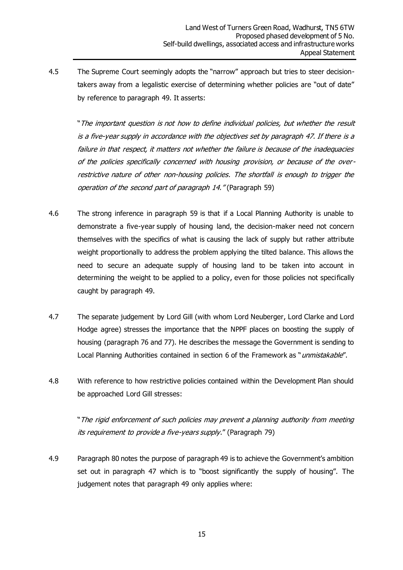4.5 The Supreme Court seemingly adopts the "narrow" approach but tries to steer decisiontakers away from a legalistic exercise of determining whether policies are "out of date" by reference to paragraph 49. It asserts:

"The important question is not how to define individual policies, but whether the result is a five-year supply in accordance with the objectives set by paragraph 47. If there is a failure in that respect, it matters not whether the failure is because of the inadequacies of the policies specifically concerned with housing provision, or because of the overrestrictive nature of other non-housing policies. The shortfall is enough to trigger the operation of the second part of paragraph 14." (Paragraph 59)

- 4.6 The strong inference in paragraph 59 is that if a Local Planning Authority is unable to demonstrate a five-year supply of housing land, the decision-maker need not concern themselves with the specifics of what is causing the lack of supply but rather attribute weight proportionally to address the problem applying the tilted balance. This allows the need to secure an adequate supply of housing land to be taken into account in determining the weight to be applied to a policy, even for those policies not specifically caught by paragraph 49.
- 4.7 The separate judgement by Lord Gill (with whom Lord Neuberger, Lord Clarke and Lord Hodge agree) stresses the importance that the NPPF places on boosting the supply of housing (paragraph 76 and 77). He describes the message the Government is sending to Local Planning Authorities contained in section 6 of the Framework as "unmistakable".
- 4.8 With reference to how restrictive policies contained within the Development Plan should be approached Lord Gill stresses:

"The rigid enforcement of such policies may prevent a planning authority from meeting its requirement to provide a five-years supply." (Paragraph 79)

4.9 Paragraph 80 notes the purpose of paragraph 49 is to achieve the Government's ambition set out in paragraph 47 which is to "boost significantly the supply of housing". The judgement notes that paragraph 49 only applies where: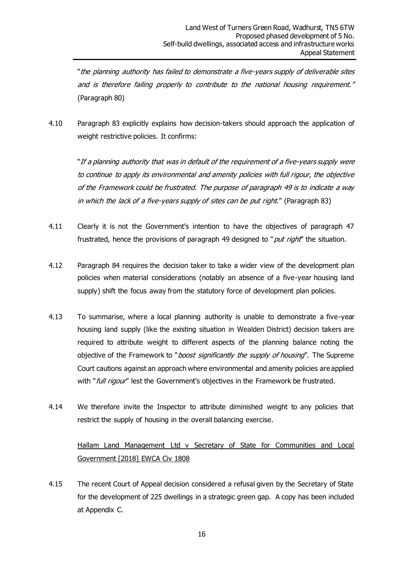"the planning authority has failed to demonstrate a five-years supply of deliverable sites and is therefore failing properly to contribute to the national housing requirement." (Paragraph 80)

4.10 Paragraph 83 explicitly explains how decision-takers should approach the application of weight restrictive policies. It confirms:

"If a planning authority that was in default of the requirement of a five-years supply were to continue to apply its environmental and amenity policies with full rigour, the objective of the Framework could be frustrated. The purpose of paragraph 49 is to indicate a way in which the lack of a five-years supply of sites can be put right." (Paragraph 83)

- 4.11 Clearly it is not the Government's intention to have the objectives of paragraph 47 frustrated, hence the provisions of paragraph 49 designed to "*put right*" the situation.
- 4.12 Paragraph 84 requires the decision taker to take a wider view of the development plan policies when material considerations (notably an absence of a five-year housing land supply) shift the focus away from the statutory force of development plan policies.
- 4.13 To summarise, where a local planning authority is unable to demonstrate a five-year housing land supply (like the existing situation in Wealden District) decision takers are required to attribute weight to different aspects of the planning balance noting the objective of the Framework to "*boost significantly the supply of housing*". The Supreme Court cautions against an approach where environmental and amenity policies are applied with "*full rigour*" lest the Government's objectives in the Framework be frustrated.
- 4.14 We therefore invite the Inspector to attribute diminished weight to any policies that restrict the supply of housing in the overall balancing exercise.

# Hallam Land Management Ltd v Secretary of State for Communities and Local Government [2018] EWCA Civ 1808

4.15 The recent Court of Appeal decision considered a refusal given by the Secretary of State for the development of 225 dwellings in a strategic green gap. A copy has been included at Appendix C.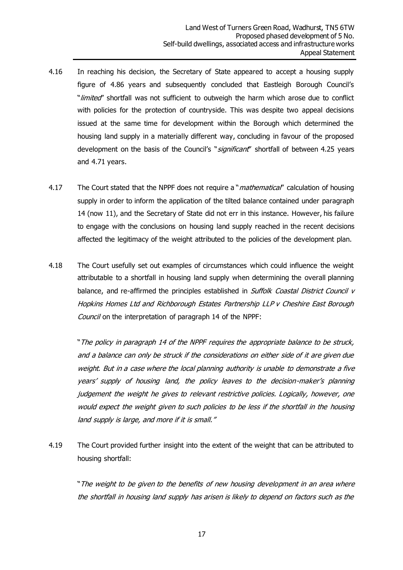- 4.16 In reaching his decision, the Secretary of State appeared to accept a housing supply figure of 4.86 years and subsequently concluded that Eastleigh Borough Council's "*limited*" shortfall was not sufficient to outweigh the harm which arose due to conflict with policies for the protection of countryside. This was despite two appeal decisions issued at the same time for development within the Borough which determined the housing land supply in a materially different way, concluding in favour of the proposed development on the basis of the Council's "significant" shortfall of between 4.25 years and 4.71 years.
- 4.17 The Court stated that the NPPF does not require a "*mathematical*" calculation of housing supply in order to inform the application of the tilted balance contained under paragraph 14 (now 11), and the Secretary of State did not err in this instance. However, his failure to engage with the conclusions on housing land supply reached in the recent decisions affected the legitimacy of the weight attributed to the policies of the development plan.
- 4.18 The Court usefully set out examples of circumstances which could influence the weight attributable to a shortfall in housing land supply when determining the overall planning balance, and re-affirmed the principles established in Suffolk Coastal District Council v Hopkins Homes Ltd and Richborough Estates Partnership LLP v Cheshire East Borough Council on the interpretation of paragraph 14 of the NPPF:

"The policy in paragraph 14 of the NPPF requires the appropriate balance to be struck, and a balance can only be struck if the considerations on either side of it are given due weight. But in a case where the local planning authority is unable to demonstrate a five years' supply of housing land, the policy leaves to the decision-maker's planning judgement the weight he gives to relevant restrictive policies. Logically, however, one would expect the weight given to such policies to be less if the shortfall in the housing land supply is large, and more if it is small."

4.19 The Court provided further insight into the extent of the weight that can be attributed to housing shortfall:

"The weight to be given to the benefits of new housing development in an area where the shortfall in housing land supply has arisen is likely to depend on factors such as the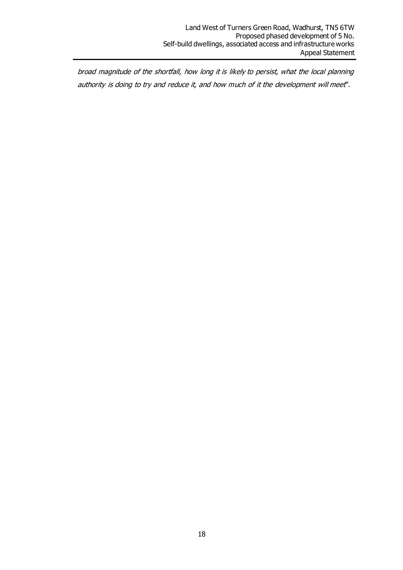broad magnitude of the shortfall, how long it is likely to persist, what the local planning authority is doing to try and reduce it, and how much of it the development will meet".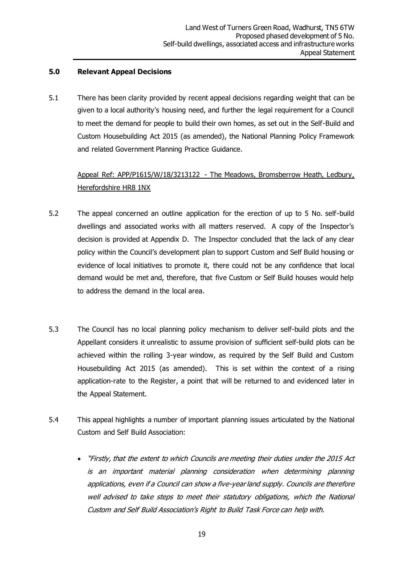#### **5.0 Relevant Appeal Decisions**

5.1 There has been clarity provided by recent appeal decisions regarding weight that can be given to a local authority's housing need, and further the legal requirement for a Council to meet the demand for people to build their own homes, as set out in the Self-Build and Custom Housebuilding Act 2015 (as amended), the National Planning Policy Framework and related Government Planning Practice Guidance.

# Appeal Ref: APP/P1615/W/18/3213122 - The Meadows, Bromsberrow Heath, Ledbury, Herefordshire HR8 1NX

- 5.2 The appeal concerned an outline application for the erection of up to 5 No. self-build dwellings and associated works with all matters reserved. A copy of the Inspector's decision is provided at Appendix D. The Inspector concluded that the lack of any clear policy within the Council's development plan to support Custom and Self Build housing or evidence of local initiatives to promote it, there could not be any confidence that local demand would be met and, therefore, that five Custom or Self Build houses would help to address the demand in the local area.
- 5.3 The Council has no local planning policy mechanism to deliver self-build plots and the Appellant considers it unrealistic to assume provision of sufficient self-build plots can be achieved within the rolling 3-year window, as required by the Self Build and Custom Housebuilding Act 2015 (as amended). This is set within the context of a rising application-rate to the Register, a point that will be returned to and evidenced later in the Appeal Statement.
- 5.4 This appeal highlights a number of important planning issues articulated by the National Custom and Self Build Association:
	- "Firstly, that the extent to which Councils are meeting their duties under the 2015 Act is an important material planning consideration when determining planning applications, even if a Council can show a five-year land supply. Councils are therefore well advised to take steps to meet their statutory obligations, which the National Custom and Self Build Association's Right to Build Task Force can help with.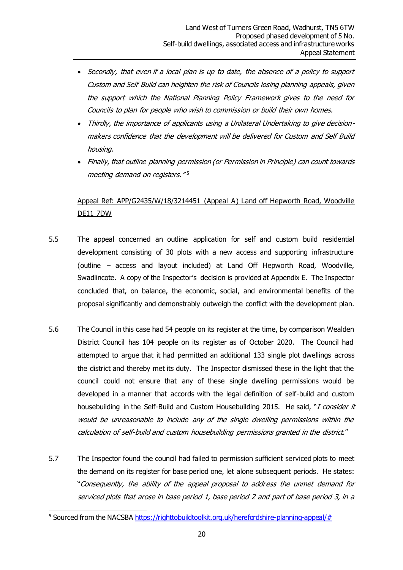- Secondly, that even if a local plan is up to date, the absence of a policy to support Custom and Self Build can heighten the risk of Councils losing planning appeals, given the support which the National Planning Policy Framework gives to the need for Councils to plan for people who wish to commission or build their own homes.
- Thirdly, the importance of applicants using a Unilateral Undertaking to give decisionmakers confidence that the development will be delivered for Custom and Self Build housing.
- Finally, that outline planning permission (or Permission in Principle) can count towards meeting demand on registers." 5

### Appeal Ref: APP/G2435/W/18/3214451 (Appeal A) Land off Hepworth Road, Woodville DE11 7DW

- 5.5 The appeal concerned an outline application for self and custom build residential development consisting of 30 plots with a new access and supporting infrastructure (outline – access and layout included) at Land Off Hepworth Road, Woodville, Swadlincote. A copy of the Inspector's decision is provided at Appendix E. The Inspector concluded that, on balance, the economic, social, and environmental benefits of the proposal significantly and demonstrably outweigh the conflict with the development plan.
- 5.6 The Council in this case had 54 people on its register at the time, by comparison Wealden District Council has 104 people on its register as of October 2020. The Council had attempted to argue that it had permitted an additional 133 single plot dwellings across the district and thereby met its duty. The Inspector dismissed these in the light that the council could not ensure that any of these single dwelling permissions would be developed in a manner that accords with the legal definition of self-build and custom housebuilding in the Self-Build and Custom Housebuilding 2015. He said, "I consider it would be unreasonable to include any of the single dwelling permissions within the calculation of self-build and custom housebuilding permissions granted in the district."
- 5.7 The Inspector found the council had failed to permission sufficient serviced plots to meet the demand on its register for base period one, let alone subsequent periods. He states: "Consequently, the ability of the appeal proposal to address the unmet demand for serviced plots that arose in base period 1, base period 2 and part of base period 3, in a

<sup>&</sup>lt;sup>5</sup> Sourced from the NACSB[A https://righttobuildtoolkit.org.uk/herefordshire-planning-appeal/#](https://righttobuildtoolkit.org.uk/herefordshire-planning-appeal/)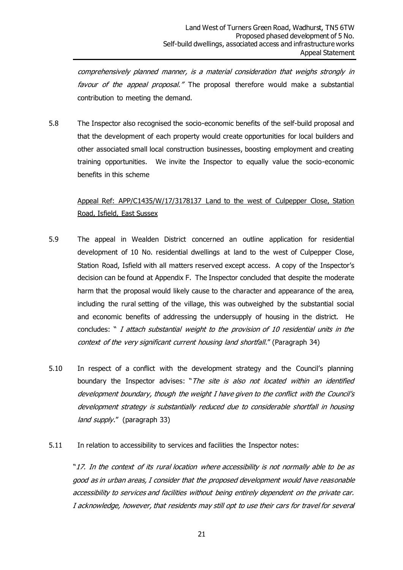comprehensively planned manner, is a material consideration that weighs strongly in favour of the appeal proposal." The proposal therefore would make a substantial contribution to meeting the demand.

5.8 The Inspector also recognised the socio-economic benefits of the self-build proposal and that the development of each property would create opportunities for local builders and other associated small local construction businesses, boosting employment and creating training opportunities. We invite the Inspector to equally value the socio-economic benefits in this scheme

### Appeal Ref: APP/C1435/W/17/3178137 Land to the west of Culpepper Close, Station Road, Isfield, East Sussex

- 5.9 The appeal in Wealden District concerned an outline application for residential development of 10 No. residential dwellings at land to the west of Culpepper Close, Station Road, Isfield with all matters reserved except access. A copy of the Inspector's decision can be found at Appendix F. The Inspector concluded that despite the moderate harm that the proposal would likely cause to the character and appearance of the area, including the rural setting of the village, this was outweighed by the substantial social and economic benefits of addressing the undersupply of housing in the district. He concludes: " I attach substantial weight to the provision of 10 residential units in the context of the very significant current housing land shortfall." (Paragraph 34)
- 5.10 In respect of a conflict with the development strategy and the Council's planning boundary the Inspector advises: "The site is also not located within an identified development boundary, though the weight I have given to the conflict with the Council's development strategy is substantially reduced due to considerable shortfall in housing land supply." (paragraph 33)
- 5.11 In relation to accessibility to services and facilities the Inspector notes:

"17. In the context of its rural location where accessibility is not normally able to be as good as in urban areas, I consider that the proposed development would have reasonable accessibility to services and facilities without being entirely dependent on the private car. I acknowledge, however, that residents may still opt to use their cars for travel for several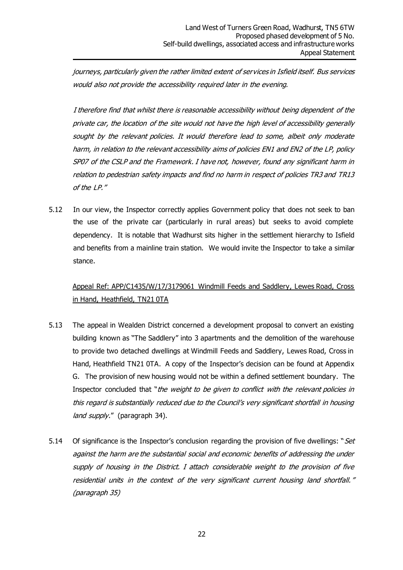journeys, particularly given the rather limited extent of services in Isfield itself. Bus services would also not provide the accessibility required later in the evening.

I therefore find that whilst there is reasonable accessibility without being dependent of the private car, the location of the site would not have the high level of accessibility generally sought by the relevant policies. It would therefore lead to some, albeit only moderate harm, in relation to the relevant accessibility aims of policies EN1 and EN2 of the LP, policy SP07 of the CSLP and the Framework. I have not, however, found any significant harm in relation to pedestrian safety impacts and find no harm in respect of policies TR3 and TR13 of the LP."

5.12 In our view, the Inspector correctly applies Government policy that does not seek to ban the use of the private car (particularly in rural areas) but seeks to avoid complete dependency. It is notable that Wadhurst sits higher in the settlement hierarchy to Isfield and benefits from a mainline train station. We would invite the Inspector to take a similar stance.

# Appeal Ref: APP/C1435/W/17/3179061 Windmill Feeds and Saddlery, Lewes Road, Cross in Hand, Heathfield, TN21 0TA

- 5.13 The appeal in Wealden District concerned a development proposal to convert an existing building known as "The Saddlery" into 3 apartments and the demolition of the warehouse to provide two detached dwellings at Windmill Feeds and Saddlery, Lewes Road, Cross in Hand, Heathfield TN21 0TA. A copy of the Inspector's decision can be found at Appendix G. The provision of new housing would not be within a defined settlement boundary. The Inspector concluded that "the weight to be given to conflict with the relevant policies in this regard is substantially reduced due to the Council's very significant shortfall in housing land supply." (paragraph 34).
- 5.14 Of significance is the Inspector's conclusion regarding the provision of five dwellings: "Set against the harm are the substantial social and economic benefits of addressing the under supply of housing in the District. I attach considerable weight to the provision of five residential units in the context of the very significant current housing land shortfall." (paragraph 35)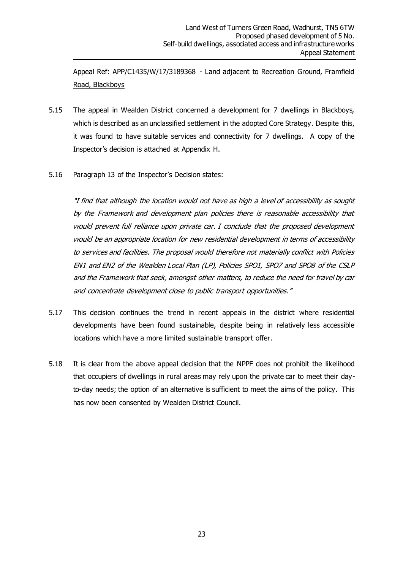Appeal Ref: APP/C1435/W/17/3189368 - Land adjacent to Recreation Ground, Framfield Road, Blackboys

- 5.15 The appeal in Wealden District concerned a development for 7 dwellings in Blackboys, which is described as an unclassified settlement in the adopted Core Strategy. Despite this, it was found to have suitable services and connectivity for 7 dwellings. A copy of the Inspector's decision is attached at Appendix H.
- 5.16 Paragraph 13 of the Inspector's Decision states:

"I find that although the location would not have as high a level of accessibility as sought by the Framework and development plan policies there is reasonable accessibility that would prevent full reliance upon private car. I conclude that the proposed development would be an appropriate location for new residential development in terms of accessibility to services and facilities. The proposal would therefore not materially conflict with Policies EN1 and EN2 of the Wealden Local Plan (LP), Policies SPO1, SPO7 and SPO8 of the CSLP and the Framework that seek, amongst other matters, to reduce the need for travel by car and concentrate development close to public transport opportunities."

- 5.17 This decision continues the trend in recent appeals in the district where residential developments have been found sustainable, despite being in relatively less accessible locations which have a more limited sustainable transport offer.
- 5.18 It is clear from the above appeal decision that the NPPF does not prohibit the likelihood that occupiers of dwellings in rural areas may rely upon the private car to meet their dayto-day needs; the option of an alternative is sufficient to meet the aims of the policy. This has now been consented by Wealden District Council.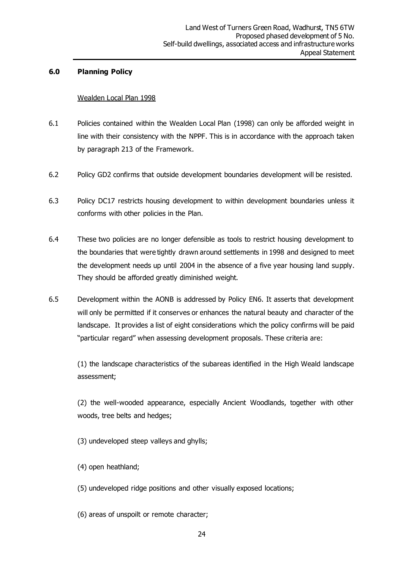#### **6.0 Planning Policy**

#### Wealden Local Plan 1998

- 6.1 Policies contained within the Wealden Local Plan (1998) can only be afforded weight in line with their consistency with the NPPF. This is in accordance with the approach taken by paragraph 213 of the Framework.
- 6.2 Policy GD2 confirms that outside development boundaries development will be resisted.
- 6.3 Policy DC17 restricts housing development to within development boundaries unless it conforms with other policies in the Plan.
- 6.4 These two policies are no longer defensible as tools to restrict housing development to the boundaries that were tightly drawn around settlements in 1998 and designed to meet the development needs up until 2004 in the absence of a five year housing land supply. They should be afforded greatly diminished weight.
- 6.5 Development within the AONB is addressed by Policy EN6. It asserts that development will only be permitted if it conserves or enhances the natural beauty and character of the landscape. It provides a list of eight considerations which the policy confirms will be paid "particular regard" when assessing development proposals. These criteria are:

(1) the landscape characteristics of the subareas identified in the High Weald landscape assessment;

(2) the well-wooded appearance, especially Ancient Woodlands, together with other woods, tree belts and hedges;

(3) undeveloped steep valleys and ghylls;

- (4) open heathland;
- (5) undeveloped ridge positions and other visually exposed locations;
- (6) areas of unspoilt or remote character;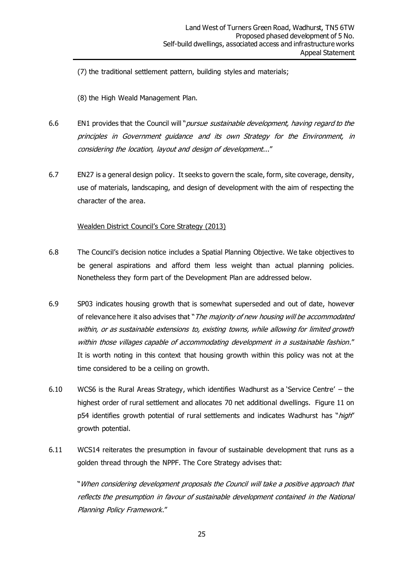(7) the traditional settlement pattern, building styles and materials;

(8) the High Weald Management Plan.

- 6.6 EN1 provides that the Council will "*pursue sustainable development, having regard to the* principles in Government guidance and its own Strategy for the Environment, in considering the location, layout and design of development..."
- 6.7 EN27 is a general design policy. It seeks to govern the scale, form, site coverage, density, use of materials, landscaping, and design of development with the aim of respecting the character of the area.

#### Wealden District Council's Core Strategy (2013)

- 6.8 The Council's decision notice includes a Spatial Planning Objective. We take objectives to be general aspirations and afford them less weight than actual planning policies. Nonetheless they form part of the Development Plan are addressed below.
- 6.9 SP03 indicates housing growth that is somewhat superseded and out of date, however of relevance here it also advises that "The majority of new housing will be accommodated within, or as sustainable extensions to, existing towns, while allowing for limited growth within those villages capable of accommodating development in a sustainable fashion." It is worth noting in this context that housing growth within this policy was not at the time considered to be a ceiling on growth.
- 6.10 WCS6 is the Rural Areas Strategy, which identifies Wadhurst as a 'Service Centre' the highest order of rural settlement and allocates 70 net additional dwellings. Figure 11 on p54 identifies growth potential of rural settlements and indicates Wadhurst has "high" growth potential.
- 6.11 WCS14 reiterates the presumption in favour of sustainable development that runs as a golden thread through the NPPF. The Core Strategy advises that:

"When considering development proposals the Council will take a positive approach that reflects the presumption in favour of sustainable development contained in the National Planning Policy Framework."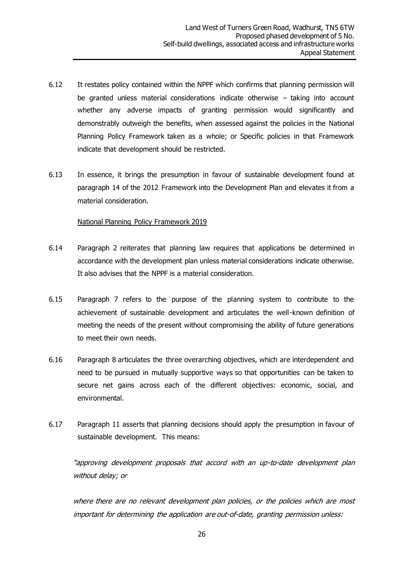- 6.12 It restates policy contained within the NPPF which confirms that planning permission will be granted unless material considerations indicate otherwise – taking into account whether any adverse impacts of granting permission would significantly and demonstrably outweigh the benefits, when assessed against the policies in the National Planning Policy Framework taken as a whole; or Specific policies in that Framework indicate that development should be restricted.
- 6.13 In essence, it brings the presumption in favour of sustainable development found at paragraph 14 of the 2012 Framework into the Development Plan and elevates it from a material consideration.

#### National Planning Policy Framework 2019

- 6.14 Paragraph 2 reiterates that planning law requires that applications be determined in accordance with the development plan unless material considerations indicate otherwise. It also advises that the NPPF is a material consideration.
- 6.15 Paragraph 7 refers to the purpose of the planning system to contribute to the achievement of sustainable development and articulates the well-known definition of meeting the needs of the present without compromising the ability of future generations to meet their own needs.
- 6.16 Paragraph 8 articulates the three overarching objectives, which are interdependent and need to be pursued in mutually supportive ways so that opportunities can be taken to secure net gains across each of the different objectives: economic, social, and environmental.
- 6.17 Paragraph 11 asserts that planning decisions should apply the presumption in favour of sustainable development. This means:

"approving development proposals that accord with an up-to-date development plan without delay; or

where there are no relevant development plan policies, or the policies which are most important for determining the application are out-of-date, granting permission unless: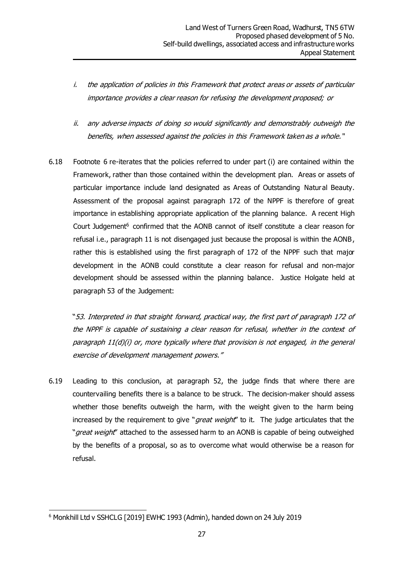- i. the application of policies in this Framework that protect areas or assets of particular importance provides a clear reason for refusing the development proposed; or
- ii. any adverse impacts of doing so would significantly and demonstrably outweigh the benefits, when assessed against the policies in this Framework taken as a whole."
- 6.18 Footnote 6 re-iterates that the policies referred to under part (i) are contained within the Framework, rather than those contained within the development plan. Areas or assets of particular importance include land designated as Areas of Outstanding Natural Beauty. Assessment of the proposal against paragraph 172 of the NPPF is therefore of great importance in establishing appropriate application of the planning balance. A recent High Court Judgement<sup>6</sup> confirmed that the AONB cannot of itself constitute a clear reason for refusal i.e., paragraph 11 is not disengaged just because the proposal is within the AONB, rather this is established using the first paragraph of 172 of the NPPF such that major development in the AONB could constitute a clear reason for refusal and non-major development should be assessed within the planning balance. Justice Holgate held at paragraph 53 of the Judgement:

"53. Interpreted in that straight forward, practical way, the first part of paragraph 172 of the NPPF is capable of sustaining a clear reason for refusal, whether in the context of paragraph 11(d)(i) or, more typically where that provision is not engaged, in the general exercise of development management powers."

6.19 Leading to this conclusion, at paragraph 52, the judge finds that where there are countervailing benefits there is a balance to be struck. The decision-maker should assess whether those benefits outweigh the harm, with the weight given to the harm being increased by the requirement to give "*great weight*" to it. The judge articulates that the "great weight" attached to the assessed harm to an AONB is capable of being outweighed by the benefits of a proposal, so as to overcome what would otherwise be a reason for refusal.

<sup>6</sup> Monkhill Ltd v SSHCLG [2019] EWHC 1993 (Admin), handed down on 24 July 2019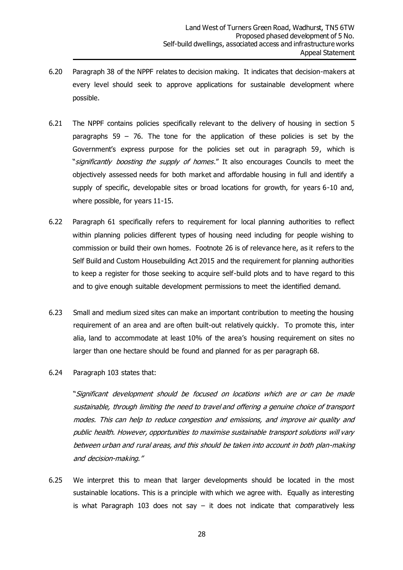- 6.20 Paragraph 38 of the NPPF relates to decision making. It indicates that decision-makers at every level should seek to approve applications for sustainable development where possible.
- 6.21 The NPPF contains policies specifically relevant to the delivery of housing in section 5 paragraphs 59 – 76. The tone for the application of these policies is set by the Government's express purpose for the policies set out in paragraph 59, which is "significantly boosting the supply of homes." It also encourages Councils to meet the objectively assessed needs for both market and affordable housing in full and identify a supply of specific, developable sites or broad locations for growth, for years 6-10 and, where possible, for years 11-15.
- 6.22 Paragraph 61 specifically refers to requirement for local planning authorities to reflect within planning policies different types of housing need including for people wishing to commission or build their own homes. Footnote 26 is of relevance here, as it refers to the Self Build and Custom Housebuilding Act 2015 and the requirement for planning authorities to keep a register for those seeking to acquire self-build plots and to have regard to this and to give enough suitable development permissions to meet the identified demand.
- 6.23 Small and medium sized sites can make an important contribution to meeting the housing requirement of an area and are often built-out relatively quickly. To promote this, inter alia, land to accommodate at least 10% of the area's housing requirement on sites no larger than one hectare should be found and planned for as per paragraph 68.
- 6.24 Paragraph 103 states that:

"Significant development should be focused on locations which are or can be made sustainable, through limiting the need to travel and offering a genuine choice of transport modes. This can help to reduce congestion and emissions, and improve air quality and public health. However, opportunities to maximise sustainable transport solutions will vary between urban and rural areas, and this should be taken into account in both plan-making and decision-making."

6.25 We interpret this to mean that larger developments should be located in the most sustainable locations. This is a principle with which we agree with. Equally as interesting is what Paragraph 103 does not say  $-$  it does not indicate that comparatively less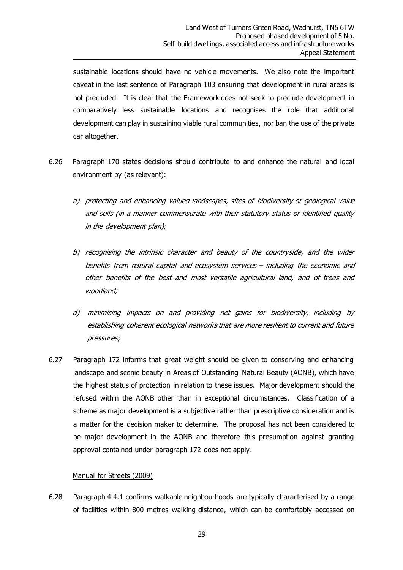sustainable locations should have no vehicle movements. We also note the important caveat in the last sentence of Paragraph 103 ensuring that development in rural areas is not precluded. It is clear that the Framework does not seek to preclude development in comparatively less sustainable locations and recognises the role that additional development can play in sustaining viable rural communities, nor ban the use of the private car altogether.

- 6.26 Paragraph 170 states decisions should contribute to and enhance the natural and local environment by (as relevant):
	- a) protecting and enhancing valued landscapes, sites of biodiversity or geological value and soils (in a manner commensurate with their statutory status or identified quality in the development plan);
	- b) recognising the intrinsic character and beauty of the countryside, and the wider benefits from natural capital and ecosystem services – including the economic and other benefits of the best and most versatile agricultural land, and of trees and woodland;
	- d) minimising impacts on and providing net gains for biodiversity, including by establishing coherent ecological networks that are more resilient to current and future pressures;
- 6.27 Paragraph 172 informs that great weight should be given to conserving and enhancing landscape and scenic beauty in Areas of Outstanding Natural Beauty (AONB), which have the highest status of protection in relation to these issues. Major development should the refused within the AONB other than in exceptional circumstances. Classification of a scheme as major development is a subjective rather than prescriptive consideration and is a matter for the decision maker to determine. The proposal has not been considered to be major development in the AONB and therefore this presumption against granting approval contained under paragraph 172 does not apply.

#### Manual for Streets (2009)

6.28 Paragraph 4.4.1 confirms walkable neighbourhoods are typically characterised by a range of facilities within 800 metres walking distance, which can be comfortably accessed on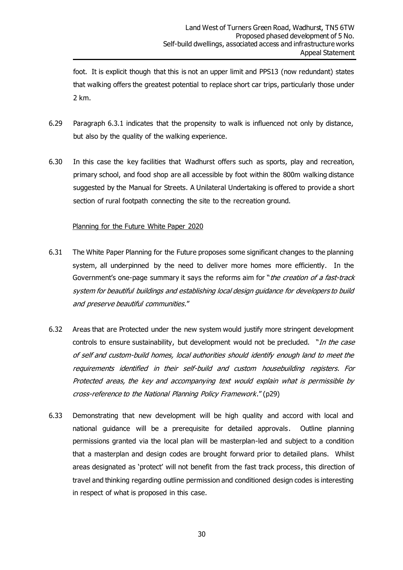foot. It is explicit though that this is not an upper limit and PPS13 (now redundant) states that walking offers the greatest potential to replace short car trips, particularly those under 2 km.

- 6.29 Paragraph 6.3.1 indicates that the propensity to walk is influenced not only by distance, but also by the quality of the walking experience.
- 6.30 In this case the key facilities that Wadhurst offers such as sports, play and recreation, primary school, and food shop are all accessible by foot within the 800m walking distance suggested by the Manual for Streets. A Unilateral Undertaking is offered to provide a short section of rural footpath connecting the site to the recreation ground.

#### Planning for the Future White Paper 2020

- 6.31 The White Paper Planning for the Future proposes some significant changes to the planning system, all underpinned by the need to deliver more homes more efficiently. In the Government's one-page summary it says the reforms aim for "the creation of a fast-track system for beautiful buildings and establishing local design guidance for developers to build and preserve beautiful communities."
- 6.32 Areas that are Protected under the new system would justify more stringent development controls to ensure sustainability, but development would not be precluded. "In the case of self and custom-build homes, local authorities should identify enough land to meet the requirements identified in their self-build and custom housebuilding registers. For Protected areas, the key and accompanying text would explain what is permissible by cross-reference to the National Planning Policy Framework." (p29)
- 6.33 Demonstrating that new development will be high quality and accord with local and national guidance will be a prerequisite for detailed approvals. Outline planning permissions granted via the local plan will be masterplan-led and subject to a condition that a masterplan and design codes are brought forward prior to detailed plans. Whilst areas designated as 'protect' will not benefit from the fast track process, this direction of travel and thinking regarding outline permission and conditioned design codes is interesting in respect of what is proposed in this case.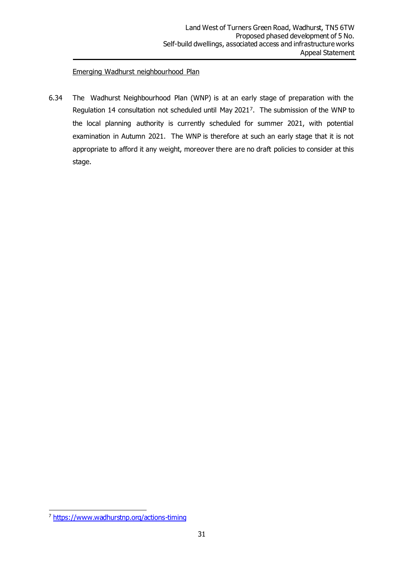#### Emerging Wadhurst neighbourhood Plan

6.34 The Wadhurst Neighbourhood Plan (WNP) is at an early stage of preparation with the Regulation 14 consultation not scheduled until May 2021<sup>7</sup> . The submission of the WNP to the local planning authority is currently scheduled for summer 2021, with potential examination in Autumn 2021. The WNP is therefore at such an early stage that it is not appropriate to afford it any weight, moreover there are no draft policies to consider at this stage.

<sup>7</sup> <https://www.wadhurstnp.org/actions-timing>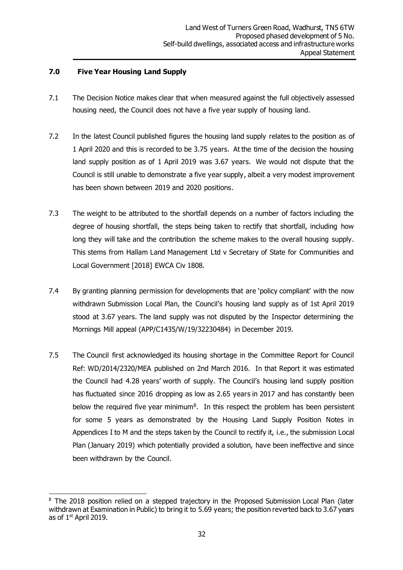#### **7.0 Five Year Housing Land Supply**

- 7.1 The Decision Notice makes clear that when measured against the full objectively assessed housing need, the Council does not have a five year supply of housing land.
- 7.2 In the latest Council published figures the housing land supply relates to the position as of 1 April 2020 and this is recorded to be 3.75 years. At the time of the decision the housing land supply position as of 1 April 2019 was 3.67 years. We would not dispute that the Council is still unable to demonstrate a five year supply, albeit a very modest improvement has been shown between 2019 and 2020 positions.
- 7.3 The weight to be attributed to the shortfall depends on a number of factors including the degree of housing shortfall, the steps being taken to rectify that shortfall, including how long they will take and the contribution the scheme makes to the overall housing supply. This stems from Hallam Land Management Ltd v Secretary of State for Communities and Local Government [2018] EWCA Civ 1808.
- 7.4 By granting planning permission for developments that are 'policy compliant' with the now withdrawn Submission Local Plan, the Council's housing land supply as of 1st April 2019 stood at 3.67 years. The land supply was not disputed by the Inspector determining the Mornings Mill appeal (APP/C1435/W/19/32230484) in December 2019.
- 7.5 The Council first acknowledged its housing shortage in the Committee Report for Council Ref: WD/2014/2320/MEA published on 2nd March 2016. In that Report it was estimated the Council had 4.28 years' worth of supply. The Council's housing land supply position has fluctuated since 2016 dropping as low as 2.65 years in 2017 and has constantly been below the required five year minimum<sup>8</sup>. In this respect the problem has been persistent for some 5 years as demonstrated by the Housing Land Supply Position Notes in Appendices I to M and the steps taken by the Council to rectify it, i.e., the submission Local Plan (January 2019) which potentially provided a solution, have been ineffective and since been withdrawn by the Council.

<sup>&</sup>lt;sup>8</sup> The 2018 position relied on a stepped trajectory in the Proposed Submission Local Plan (later withdrawn at Examination in Public) to bring it to 5.69 years; the position reverted back to 3.67 years as of 1st April 2019.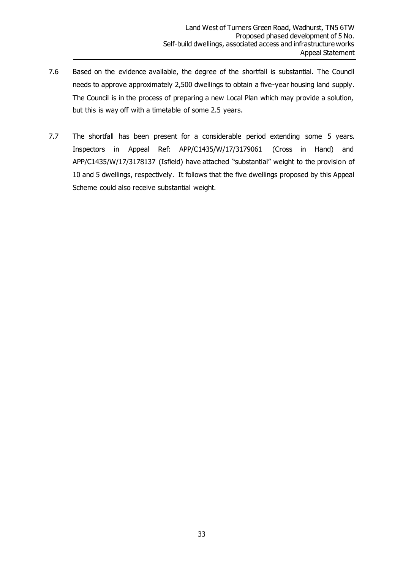- 7.6 Based on the evidence available, the degree of the shortfall is substantial. The Council needs to approve approximately 2,500 dwellings to obtain a five-year housing land supply. The Council is in the process of preparing a new Local Plan which may provide a solution, but this is way off with a timetable of some 2.5 years.
- 7.7 The shortfall has been present for a considerable period extending some 5 years. Inspectors in Appeal Ref: APP/C1435/W/17/3179061 (Cross in Hand) and APP/C1435/W/17/3178137 (Isfield) have attached "substantial" weight to the provision of 10 and 5 dwellings, respectively. It follows that the five dwellings proposed by this Appeal Scheme could also receive substantial weight.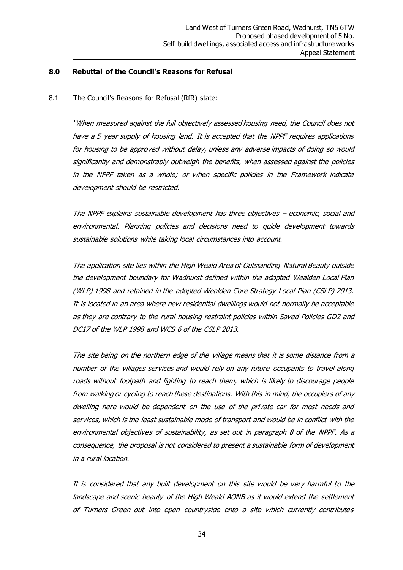#### **8.0 Rebuttal of the Council's Reasons for Refusal**

8.1 The Council's Reasons for Refusal (RfR) state:

"When measured against the full objectively assessed housing need, the Council does not have a 5 year supply of housing land. It is accepted that the NPPF requires applications for housing to be approved without delay, unless any adverse impacts of doing so would significantly and demonstrably outweigh the benefits, when assessed against the policies in the NPPF taken as a whole; or when specific policies in the Framework indicate development should be restricted.

The NPPF explains sustainable development has three objectives – economic, social and environmental. Planning policies and decisions need to guide development towards sustainable solutions while taking local circumstances into account.

The application site lies within the High Weald Area of Outstanding Natural Beauty outside the development boundary for Wadhurst defined within the adopted Wealden Local Plan (WLP) 1998 and retained in the adopted Wealden Core Strategy Local Plan (CSLP) 2013. It is located in an area where new residential dwellings would not normally be acceptable as they are contrary to the rural housing restraint policies within Saved Policies GD2 and DC17 of the WLP 1998 and WCS 6 of the CSLP 2013.

The site being on the northern edge of the village means that it is some distance from a number of the villages services and would rely on any future occupants to travel along roads without footpath and lighting to reach them, which is likely to discourage people from walking or cycling to reach these destinations. With this in mind, the occupiers of any dwelling here would be dependent on the use of the private car for most needs and services, which is the least sustainable mode of transport and would be in conflict with the environmental objectives of sustainability, as set out in paragraph 8 of the NPPF. As a consequence, the proposal is not considered to present a sustainable form of development in a rural location.

It is considered that any built development on this site would be very harmful to the landscape and scenic beauty of the High Weald AONB as it would extend the settlement of Turners Green out into open countryside onto a site which currently contributes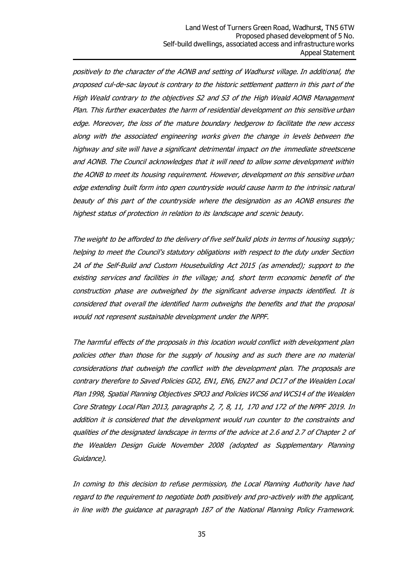positively to the character of the AONB and setting of Wadhurst village. In additional, the proposed cul-de-sac layout is contrary to the historic settlement pattern in this part of the High Weald contrary to the objectives S2 and S3 of the High Weald AONB Management Plan. This further exacerbates the harm of residential development on this sensitive urban edge. Moreover, the loss of the mature boundary hedgerow to facilitate the new access along with the associated engineering works given the change in levels between the highway and site will have a significant detrimental impact on the immediate streetscene and AONB. The Council acknowledges that it will need to allow some development within the AONB to meet its housing requirement. However, development on this sensitive urban edge extending built form into open countryside would cause harm to the intrinsic natural beauty of this part of the countryside where the designation as an AONB ensures the highest status of protection in relation to its landscape and scenic beauty.

The weight to be afforded to the delivery of five self build plots in terms of housing supply; helping to meet the Council's statutory obligations with respect to the duty under Section 2A of the Self-Build and Custom Housebuilding Act 2015 (as amended); support to the existing services and facilities in the village; and, short term economic benefit of the construction phase are outweighed by the significant adverse impacts identified. It is considered that overall the identified harm outweighs the benefits and that the proposal would not represent sustainable development under the NPPF.

The harmful effects of the proposals in this location would conflict with development plan policies other than those for the supply of housing and as such there are no material considerations that outweigh the conflict with the development plan. The proposals are contrary therefore to Saved Policies GD2, EN1, EN6, EN27 and DC17 of the Wealden Local Plan 1998, Spatial Planning Objectives SPO3 and Policies WCS6 and WCS14 of the Wealden Core Strategy Local Plan 2013, paragraphs 2, 7, 8, 11, 170 and 172 of the NPPF 2019. In addition it is considered that the development would run counter to the constraints and qualities of the designated landscape in terms of the advice at 2.6 and 2.7 of Chapter 2 of the Wealden Design Guide November 2008 (adopted as Supplementary Planning Guidance).

In coming to this decision to refuse permission, the Local Planning Authority have had regard to the requirement to negotiate both positively and pro-actively with the applicant, in line with the guidance at paragraph 187 of the National Planning Policy Framework.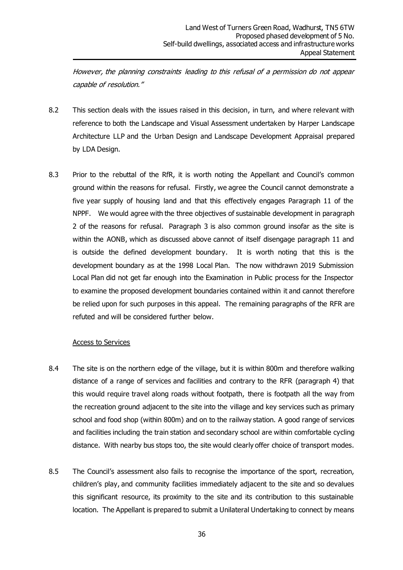However, the planning constraints leading to this refusal of a permission do not appear capable of resolution."

- 8.2 This section deals with the issues raised in this decision, in turn, and where relevant with reference to both the Landscape and Visual Assessment undertaken by Harper Landscape Architecture LLP and the Urban Design and Landscape Development Appraisal prepared by LDA Design.
- 8.3 Prior to the rebuttal of the RfR, it is worth noting the Appellant and Council's common ground within the reasons for refusal. Firstly, we agree the Council cannot demonstrate a five year supply of housing land and that this effectively engages Paragraph 11 of the NPPF. We would agree with the three objectives of sustainable development in paragraph 2 of the reasons for refusal. Paragraph 3 is also common ground insofar as the site is within the AONB, which as discussed above cannot of itself disengage paragraph 11 and is outside the defined development boundary. It is worth noting that this is the development boundary as at the 1998 Local Plan. The now withdrawn 2019 Submission Local Plan did not get far enough into the Examination in Public process for the Inspector to examine the proposed development boundaries contained within it and cannot therefore be relied upon for such purposes in this appeal. The remaining paragraphs of the RFR are refuted and will be considered further below.

#### Access to Services

- 8.4 The site is on the northern edge of the village, but it is within 800m and therefore walking distance of a range of services and facilities and contrary to the RFR (paragraph 4) that this would require travel along roads without footpath, there is footpath all the way from the recreation ground adjacent to the site into the village and key services such as primary school and food shop (within 800m) and on to the railway station. A good range of services and facilities including the train station and secondary school are within comfortable cycling distance. With nearby bus stops too, the site would clearly offer choice of transport modes.
- 8.5 The Council's assessment also fails to recognise the importance of the sport, recreation, children's play, and community facilities immediately adjacent to the site and so devalues this significant resource, its proximity to the site and its contribution to this sustainable location. The Appellant is prepared to submit a Unilateral Undertaking to connect by means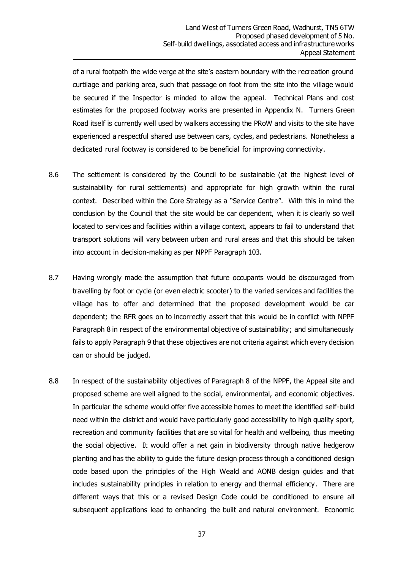of a rural footpath the wide verge at the site's eastern boundary with the recreation ground curtilage and parking area, such that passage on foot from the site into the village would be secured if the Inspector is minded to allow the appeal. Technical Plans and cost estimates for the proposed footway works are presented in Appendix N. Turners Green Road itself is currently well used by walkers accessing the PRoW and visits to the site have experienced a respectful shared use between cars, cycles, and pedestrians. Nonetheless a dedicated rural footway is considered to be beneficial for improving connectivity.

- 8.6 The settlement is considered by the Council to be sustainable (at the highest level of sustainability for rural settlements) and appropriate for high growth within the rural context. Described within the Core Strategy as a "Service Centre". With this in mind the conclusion by the Council that the site would be car dependent, when it is clearly so well located to services and facilities within a village context, appears to fail to understand that transport solutions will vary between urban and rural areas and that this should be taken into account in decision-making as per NPPF Paragraph 103.
- 8.7 Having wrongly made the assumption that future occupants would be discouraged from travelling by foot or cycle (or even electric scooter) to the varied services and facilities the village has to offer and determined that the proposed development would be car dependent; the RFR goes on to incorrectly assert that this would be in conflict with NPPF Paragraph 8 in respect of the environmental objective of sustainability; and simultaneously fails to apply Paragraph 9 that these objectives are not criteria against which every decision can or should be judged.
- 8.8 In respect of the sustainability objectives of Paragraph 8 of the NPPF, the Appeal site and proposed scheme are well aligned to the social, environmental, and economic objectives. In particular the scheme would offer five accessible homes to meet the identified self-build need within the district and would have particularly good accessibility to high quality sport, recreation and community facilities that are so vital for health and wellbeing, thus meeting the social objective. It would offer a net gain in biodiversity through native hedgerow planting and has the ability to guide the future design process through a conditioned design code based upon the principles of the High Weald and AONB design guides and that includes sustainability principles in relation to energy and thermal efficiency. There are different ways that this or a revised Design Code could be conditioned to ensure all subsequent applications lead to enhancing the built and natural environment. Economic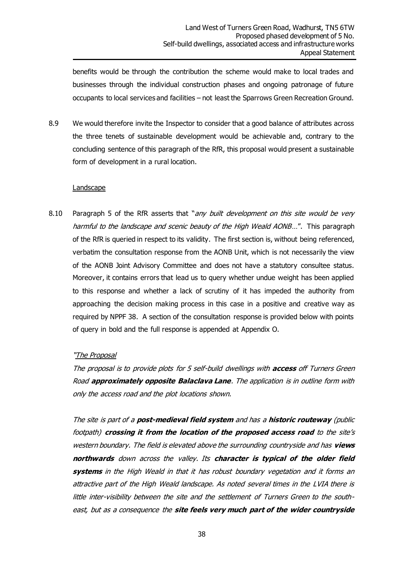benefits would be through the contribution the scheme would make to local trades and businesses through the individual construction phases and ongoing patronage of future occupants to local services and facilities – not least the Sparrows Green Recreation Ground.

8.9 We would therefore invite the Inspector to consider that a good balance of attributes across the three tenets of sustainable development would be achievable and, contrary to the concluding sentence of this paragraph of the RfR, this proposal would present a sustainable form of development in a rural location.

#### Landscape

8.10 Paragraph 5 of the RfR asserts that "any built development on this site would be very harmful to the landscape and scenic beauty of the High Weald AONB...". This paragraph of the RfR is queried in respect to its validity. The first section is, without being referenced, verbatim the consultation response from the AONB Unit, which is not necessarily the view of the AONB Joint Advisory Committee and does not have a statutory consultee status. Moreover, it contains errors that lead us to query whether undue weight has been applied to this response and whether a lack of scrutiny of it has impeded the authority from approaching the decision making process in this case in a positive and creative way as required by NPPF 38. A section of the consultation response is provided below with points of query in bold and the full response is appended at Appendix O.

#### "The Proposal

The proposal is to provide plots for 5 self-build dwellings with **access** off Turners Green Road **approximately opposite Balaclava Lane**. The application is in outline form with only the access road and the plot locations shown.

The site is part of a **post-medieval field system** and has a **historic routeway** (public footpath) **crossing it from the location of the proposed access road** to the site's western boundary. The field is elevated above the surrounding countryside and has **views northwards** down across the valley. Its **character is typical of the older field systems** in the High Weald in that it has robust boundary vegetation and it forms an attractive part of the High Weald landscape. As noted several times in the LVIA there is little inter-visibility between the site and the settlement of Turners Green to the southeast, but as a consequence the **site feels very much part of the wider countryside**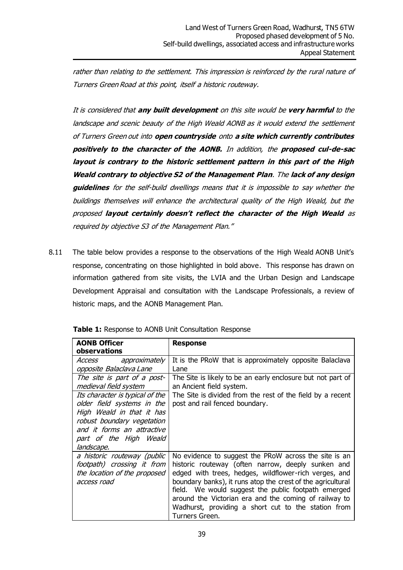rather than relating to the settlement. This impression is reinforced by the rural nature of Turners Green Road at this point, itself a historic routeway.

It is considered that **any built development** on this site would be **very harmful** to the landscape and scenic beauty of the High Weald AONB as it would extend the settlement of Turners Green out into **open countryside** onto **a site which currently contributes positively to the character of the AONB.** In addition, the **proposed cul-de-sac layout is contrary to the historic settlement pattern in this part of the High Weald contrary to objective S2 of the Management Plan**. The **lack of any design guidelines** for the self-build dwellings means that it is impossible to say whether the buildings themselves will enhance the architectural quality of the High Weald, but the proposed **layout certainly doesn't reflect the character of the High Weald** as required by objective S3 of the Management Plan."

8.11 The table below provides a response to the observations of the High Weald AONB Unit's response, concentrating on those highlighted in bold above. This response has drawn on information gathered from site visits, the LVIA and the Urban Design and Landscape Development Appraisal and consultation with the Landscape Professionals, a review of historic maps, and the AONB Management Plan.

| <b>AONB Officer</b><br>observations                                                                                                                                                                                                                    | <b>Response</b>                                                                                                                                                                                                                                                                                                                                                                                                              |
|--------------------------------------------------------------------------------------------------------------------------------------------------------------------------------------------------------------------------------------------------------|------------------------------------------------------------------------------------------------------------------------------------------------------------------------------------------------------------------------------------------------------------------------------------------------------------------------------------------------------------------------------------------------------------------------------|
| Access<br>approximately<br>opposite Balaclava Lane                                                                                                                                                                                                     | It is the PRoW that is approximately opposite Balaclava<br>Lane                                                                                                                                                                                                                                                                                                                                                              |
| The site is part of a post-<br>medieval field system<br>Its character is typical of the<br>older field systems in the<br>High Weald in that it has<br>robust boundary vegetation<br>and it forms an attractive<br>part of the High Weald<br>landscape. | The Site is likely to be an early enclosure but not part of<br>an Ancient field system.<br>The Site is divided from the rest of the field by a recent<br>post and rail fenced boundary.                                                                                                                                                                                                                                      |
| a historic routeway (public<br>footpath) crossing it from<br>the location of the proposed<br>access road                                                                                                                                               | No evidence to suggest the PRoW across the site is an<br>historic routeway (often narrow, deeply sunken and<br>edged with trees, hedges, wildflower-rich verges, and<br>boundary banks), it runs atop the crest of the agricultural<br>field. We would suggest the public footpath emerged<br>around the Victorian era and the coming of railway to<br>Wadhurst, providing a short cut to the station from<br>Turners Green. |

**Table 1:** Response to AONB Unit Consultation Response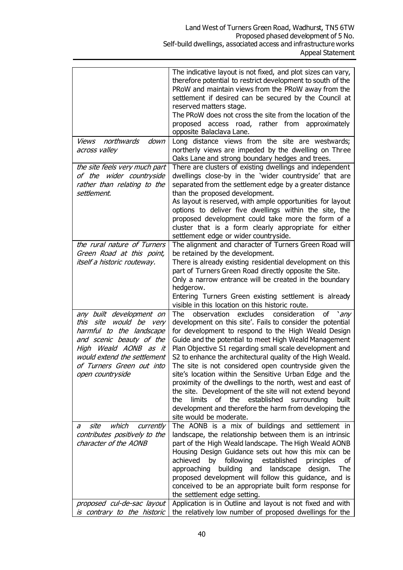|                                                                                                                                                                                                                         | The indicative layout is not fixed, and plot sizes can vary,<br>therefore potential to restrict development to south of the<br>PRoW and maintain views from the PRoW away from the<br>settlement if desired can be secured by the Council at<br>reserved matters stage.<br>The PRoW does not cross the site from the location of the<br>proposed access road, rather from approximately<br>opposite Balaclava Lane.                                                                                                                                                                                                                                                                                                                                                           |
|-------------------------------------------------------------------------------------------------------------------------------------------------------------------------------------------------------------------------|-------------------------------------------------------------------------------------------------------------------------------------------------------------------------------------------------------------------------------------------------------------------------------------------------------------------------------------------------------------------------------------------------------------------------------------------------------------------------------------------------------------------------------------------------------------------------------------------------------------------------------------------------------------------------------------------------------------------------------------------------------------------------------|
| northwards<br>down<br><i>Views</i><br>across valley                                                                                                                                                                     | Long distance views from the site are westwards;<br>northerly views are impeded by the dwelling on Three<br>Oaks Lane and strong boundary hedges and trees.                                                                                                                                                                                                                                                                                                                                                                                                                                                                                                                                                                                                                   |
| the site feels very much part<br>of the wider countryside<br>rather than relating to the<br>settlement.                                                                                                                 | There are clusters of existing dwellings and independent<br>dwellings close-by in the 'wider countryside' that are<br>separated from the settlement edge by a greater distance<br>than the proposed development.<br>As layout is reserved, with ample opportunities for layout<br>options to deliver five dwellings within the site, the<br>proposed development could take more the form of a<br>cluster that is a form clearly appropriate for either<br>settlement edge or wider countryside.                                                                                                                                                                                                                                                                              |
| the rural nature of Turners<br>Green Road at this point,<br><i>itself a historic routeway.</i>                                                                                                                          | The alignment and character of Turners Green Road will<br>be retained by the development.<br>There is already existing residential development on this<br>part of Turners Green Road directly opposite the Site.<br>Only a narrow entrance will be created in the boundary<br>hedgerow.<br>Entering Turners Green existing settlement is already<br>visible in this location on this historic route.                                                                                                                                                                                                                                                                                                                                                                          |
| any built development on<br>would be very<br>this site<br>harmful to the landscape<br>and scenic beauty of the<br>High Weald AONB as it<br>would extend the settlement<br>of Turners Green out into<br>open countryside | consideration<br>The<br>observation excludes<br>οf<br>$\mathsf{a}$<br>development on this site'. Fails to consider the potential<br>for development to respond to the High Weald Design<br>Guide and the potential to meet High Weald Management<br>Plan Objective S1 regarding small scale development and<br>S2 to enhance the architectural quality of the High Weald.<br>The site is not considered open countryside given the<br>site's location within the Sensitive Urban Edge and the<br>proximity of the dwellings to the north, west and east of<br>the site. Development of the site will not extend beyond<br>established<br>limits<br>of the<br>surrounding<br>the<br>built<br>development and therefore the harm from developing the<br>site would be moderate. |
| site<br>which<br>currently<br>а<br>contributes positively to the<br>character of the AONB<br>proposed cul-de-sac layout<br>is contrary to the historic                                                                  | The AONB is a mix of buildings and settlement in<br>landscape, the relationship between them is an intrinsic<br>part of the High Weald landscape. The High Weald AONB<br>Housing Design Guidance sets out how this mix can be<br>following<br>achieved<br>by<br>established<br>principles<br>οf<br>building<br>and<br>approaching<br>landscape<br>design.<br><b>The</b><br>proposed development will follow this guidance, and is<br>conceived to be an appropriate built form response for<br>the settlement edge setting.<br>Application is in Outline and layout is not fixed and with<br>the relatively low number of proposed dwellings for the                                                                                                                          |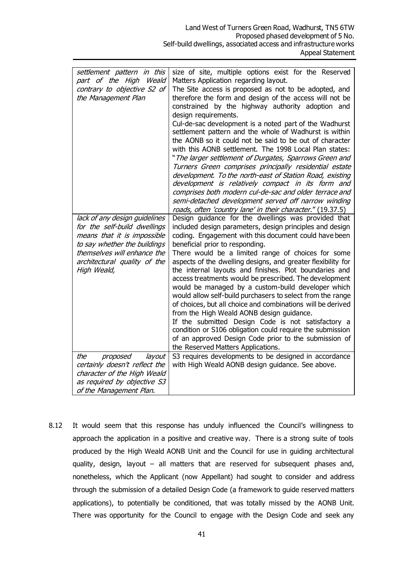| settlement pattern in this<br>part of the High Weald<br>contrary to objective S2 of<br>the Management Plan                                                                                                 | size of site, multiple options exist for the Reserved<br>Matters Application regarding layout.<br>The Site access is proposed as not to be adopted, and<br>therefore the form and design of the access will not be<br>constrained by the highway authority adoption and<br>design requirements.<br>Cul-de-sac development is a noted part of the Wadhurst<br>settlement pattern and the whole of Wadhurst is within<br>the AONB so it could not be said to be out of character<br>with this AONB settlement. The 1998 Local Plan states:<br>"The larger settlement of Durgates, Sparrows Green and<br>Turners Green comprises principally residential estate<br>development. To the north-east of Station Road, existing<br>development is relatively compact in its form and<br>comprises both modern cul-de-sac and older terrace and<br>semi-detached development served off narrow winding<br>roads, often 'country lane' in their character." (19.37.5) |
|------------------------------------------------------------------------------------------------------------------------------------------------------------------------------------------------------------|--------------------------------------------------------------------------------------------------------------------------------------------------------------------------------------------------------------------------------------------------------------------------------------------------------------------------------------------------------------------------------------------------------------------------------------------------------------------------------------------------------------------------------------------------------------------------------------------------------------------------------------------------------------------------------------------------------------------------------------------------------------------------------------------------------------------------------------------------------------------------------------------------------------------------------------------------------------|
| lack of any design guidelines<br>for the self-build dwellings<br>means that it is impossible<br>to say whether the buildings<br>themselves will enhance the<br>architectural quality of the<br>High Weald, | Design guidance for the dwellings was provided that<br>included design parameters, design principles and design<br>coding. Engagement with this document could have been<br>beneficial prior to responding.<br>There would be a limited range of choices for some<br>aspects of the dwelling designs, and greater flexibility for<br>the internal layouts and finishes. Plot boundaries and<br>access treatments would be prescribed. The development<br>would be managed by a custom-build developer which<br>would allow self-build purchasers to select from the range<br>of choices, but all choice and combinations will be derived<br>from the High Weald AONB design guidance.<br>If the submitted Design Code is not satisfactory a<br>condition or S106 obligation could require the submission<br>of an approved Design Code prior to the submission of<br>the Reserved Matters Applications.                                                      |
| the<br>proposed<br>layout<br>certainly doesn't reflect the<br>character of the High Weald<br>as required by objective S3<br>of the Management Plan.                                                        | S3 requires developments to be designed in accordance<br>with High Weald AONB design guidance. See above.                                                                                                                                                                                                                                                                                                                                                                                                                                                                                                                                                                                                                                                                                                                                                                                                                                                    |

8.12 It would seem that this response has unduly influenced the Council's willingness to approach the application in a positive and creative way. There is a strong suite of tools produced by the High Weald AONB Unit and the Council for use in guiding architectural quality, design, layout – all matters that are reserved for subsequent phases and, nonetheless, which the Applicant (now Appellant) had sought to consider and address through the submission of a detailed Design Code (a framework to guide reserved matters applications), to potentially be conditioned, that was totally missed by the AONB Unit. There was opportunity for the Council to engage with the Design Code and seek any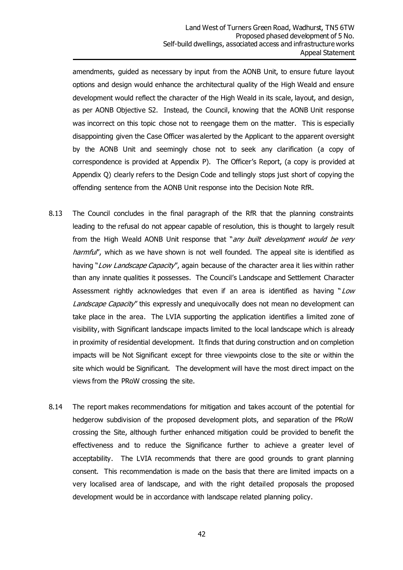amendments, guided as necessary by input from the AONB Unit, to ensure future layout options and design would enhance the architectural quality of the High Weald and ensure development would reflect the character of the High Weald in its scale, layout, and design, as per AONB Objective S2. Instead, the Council, knowing that the AONB Unit response was incorrect on this topic chose not to reengage them on the matter. This is especially disappointing given the Case Officer was alerted by the Applicant to the apparent oversight by the AONB Unit and seemingly chose not to seek any clarification (a copy of correspondence is provided at Appendix P). The Officer's Report, (a copy is provided at Appendix Q) clearly refers to the Design Code and tellingly stops just short of copying the offending sentence from the AONB Unit response into the Decision Note RfR.

- 8.13 The Council concludes in the final paragraph of the RfR that the planning constraints leading to the refusal do not appear capable of resolution, this is thought to largely result from the High Weald AONB Unit response that "any built development would be very harmful', which as we have shown is not well founded. The appeal site is identified as having "Low Landscape Capacity", again because of the character area it lies within rather than any innate qualities it possesses. The Council's Landscape and Settlement Character Assessment rightly acknowledges that even if an area is identified as having "Low Landscape Capacity" this expressly and unequivocally does not mean no development can take place in the area. The LVIA supporting the application identifies a limited zone of visibility, with Significant landscape impacts limited to the local landscape which is already in proximity of residential development. It finds that during construction and on completion impacts will be Not Significant except for three viewpoints close to the site or within the site which would be Significant. The development will have the most direct impact on the views from the PRoW crossing the site.
- 8.14 The report makes recommendations for mitigation and takes account of the potential for hedgerow subdivision of the proposed development plots, and separation of the PRoW crossing the Site, although further enhanced mitigation could be provided to benefit the effectiveness and to reduce the Significance further to achieve a greater level of acceptability. The LVIA recommends that there are good grounds to grant planning consent. This recommendation is made on the basis that there are limited impacts on a very localised area of landscape, and with the right detailed proposals the proposed development would be in accordance with landscape related planning policy.

42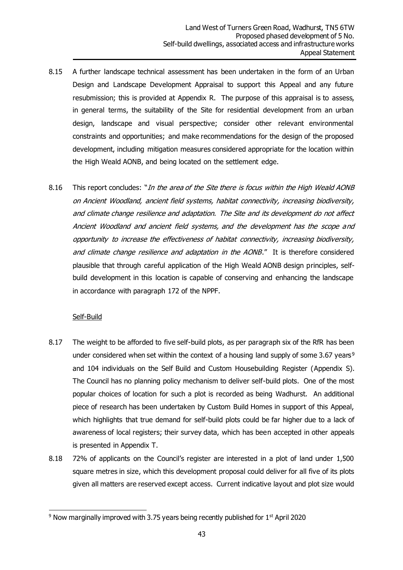- 8.15 A further landscape technical assessment has been undertaken in the form of an Urban Design and Landscape Development Appraisal to support this Appeal and any future resubmission; this is provided at Appendix R. The purpose of this appraisal is to assess, in general terms, the suitability of the Site for residential development from an urban design, landscape and visual perspective; consider other relevant environmental constraints and opportunities; and make recommendations for the design of the proposed development, including mitigation measures considered appropriate for the location within the High Weald AONB, and being located on the settlement edge.
- 8.16 This report concludes: "In the area of the Site there is focus within the High Weald AONB on Ancient Woodland, ancient field systems, habitat connectivity, increasing biodiversity, and climate change resilience and adaptation. The Site and its development do not affect Ancient Woodland and ancient field systems, and the development has the scope and opportunity to increase the effectiveness of habitat connectivity, increasing biodiversity, and climate change resilience and adaptation in the AONB." It is therefore considered plausible that through careful application of the High Weald AONB design principles, selfbuild development in this location is capable of conserving and enhancing the landscape in accordance with paragraph 172 of the NPPF.

#### Self-Build

- 8.17 The weight to be afforded to five self-build plots, as per paragraph six of the RfR has been under considered when set within the context of a housing land supply of some 3.67 years<sup>9</sup> and 104 individuals on the Self Build and Custom Housebuilding Register (Appendix S). The Council has no planning policy mechanism to deliver self-build plots. One of the most popular choices of location for such a plot is recorded as being Wadhurst. An additional piece of research has been undertaken by Custom Build Homes in support of this Appeal, which highlights that true demand for self-build plots could be far higher due to a lack of awareness of local registers; their survey data, which has been accepted in other appeals is presented in Appendix T.
- 8.18 72% of applicants on the Council's register are interested in a plot of land under 1,500 square metres in size, which this development proposal could deliver for all five of its plots given all matters are reserved except access. Current indicative layout and plot size would

<sup>&</sup>lt;sup>9</sup> Now marginally improved with 3.75 years being recently published for 1<sup>st</sup> April 2020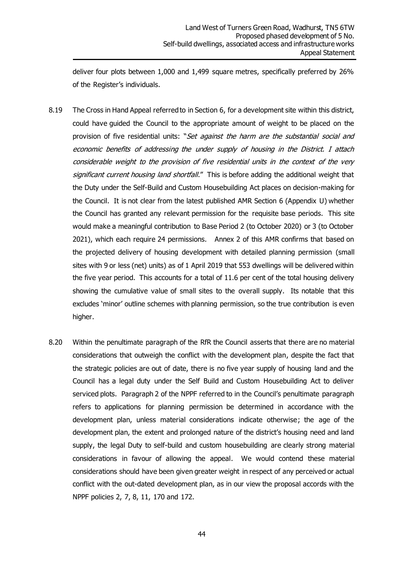deliver four plots between 1,000 and 1,499 square metres, specifically preferred by 26% of the Register's individuals.

- 8.19 The Cross in Hand Appeal referred to in Section 6, for a development site within this district, could have guided the Council to the appropriate amount of weight to be placed on the provision of five residential units: "Set against the harm are the substantial social and economic benefits of addressing the under supply of housing in the District. I attach considerable weight to the provision of five residential units in the context of the very significant current housing land shortfall." This is before adding the additional weight that the Duty under the Self-Build and Custom Housebuilding Act places on decision-making for the Council. It is not clear from the latest published AMR Section 6 (Appendix U) whether the Council has granted any relevant permission for the requisite base periods. This site would make a meaningful contribution to Base Period 2 (to October 2020) or 3 (to October 2021), which each require 24 permissions. Annex 2 of this AMR confirms that based on the projected delivery of housing development with detailed planning permission (small sites with 9 or less (net) units) as of 1 April 2019 that 553 dwellings will be delivered within the five year period. This accounts for a total of 11.6 per cent of the total housing delivery showing the cumulative value of small sites to the overall supply. Its notable that this excludes 'minor' outline schemes with planning permission, so the true contribution is even higher.
- 8.20 Within the penultimate paragraph of the RfR the Council asserts that there are no material considerations that outweigh the conflict with the development plan, despite the fact that the strategic policies are out of date, there is no five year supply of housing land and the Council has a legal duty under the Self Build and Custom Housebuilding Act to deliver serviced plots. Paragraph 2 of the NPPF referred to in the Council's penultimate paragraph refers to applications for planning permission be determined in accordance with the development plan, unless material considerations indicate otherwise; the age of the development plan, the extent and prolonged nature of the district's housing need and land supply, the legal Duty to self-build and custom housebuilding are clearly strong material considerations in favour of allowing the appeal. We would contend these material considerations should have been given greater weight in respect of any perceived or actual conflict with the out-dated development plan, as in our view the proposal accords with the NPPF policies 2, 7, 8, 11, 170 and 172.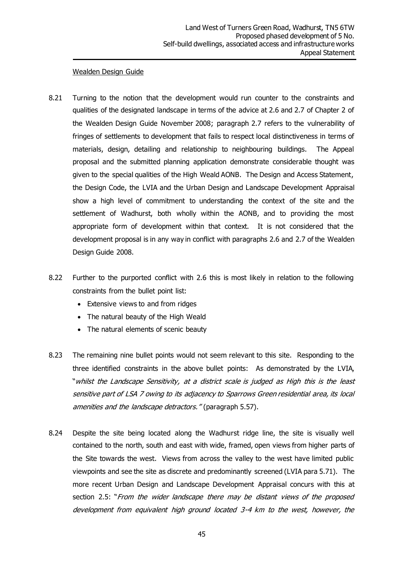#### Wealden Design Guide

- 8.21 Turning to the notion that the development would run counter to the constraints and qualities of the designated landscape in terms of the advice at 2.6 and 2.7 of Chapter 2 of the Wealden Design Guide November 2008; paragraph 2.7 refers to the vulnerability of fringes of settlements to development that fails to respect local distinctiveness in terms of materials, design, detailing and relationship to neighbouring buildings. The Appeal proposal and the submitted planning application demonstrate considerable thought was given to the special qualities of the High Weald AONB. The Design and Access Statement, the Design Code, the LVIA and the Urban Design and Landscape Development Appraisal show a high level of commitment to understanding the context of the site and the settlement of Wadhurst, both wholly within the AONB, and to providing the most appropriate form of development within that context. It is not considered that the development proposal is in any way in conflict with paragraphs 2.6 and 2.7 of the Wealden Design Guide 2008.
- 8.22 Further to the purported conflict with 2.6 this is most likely in relation to the following constraints from the bullet point list:
	- Extensive views to and from ridges
	- The natural beauty of the High Weald
	- The natural elements of scenic beauty
- 8.23 The remaining nine bullet points would not seem relevant to this site. Responding to the three identified constraints in the above bullet points: As demonstrated by the LVIA, "whilst the Landscape Sensitivity, at a district scale is judged as High this is the least sensitive part of LSA 7 owing to its adjacency to Sparrows Green residential area, its local amenities and the landscape detractors." (paragraph 5.57).
- 8.24 Despite the site being located along the Wadhurst ridge line, the site is visually well contained to the north, south and east with wide, framed, open views from higher parts of the Site towards the west. Views from across the valley to the west have limited public viewpoints and see the site as discrete and predominantly screened (LVIA para 5.71). The more recent Urban Design and Landscape Development Appraisal concurs with this at section 2.5: "From the wider landscape there may be distant views of the proposed development from equivalent high ground located 3-4 km to the west, however, the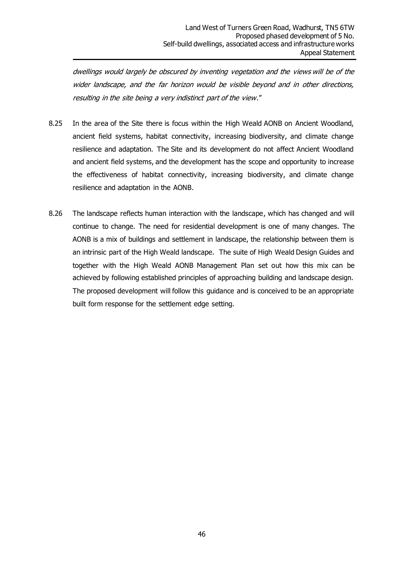dwellings would largely be obscured by inventing vegetation and the views will be of the wider landscape, and the far horizon would be visible beyond and in other directions, resulting in the site being a very indistinct part of the view."

- 8.25 In the area of the Site there is focus within the High Weald AONB on Ancient Woodland, ancient field systems, habitat connectivity, increasing biodiversity, and climate change resilience and adaptation. The Site and its development do not affect Ancient Woodland and ancient field systems, and the development has the scope and opportunity to increase the effectiveness of habitat connectivity, increasing biodiversity, and climate change resilience and adaptation in the AONB.
- 8.26 The landscape reflects human interaction with the landscape, which has changed and will continue to change. The need for residential development is one of many changes. The AONB is a mix of buildings and settlement in landscape, the relationship between them is an intrinsic part of the High Weald landscape. The suite of High Weald Design Guides and together with the High Weald AONB Management Plan set out how this mix can be achieved by following established principles of approaching building and landscape design. The proposed development will follow this guidance and is conceived to be an appropriate built form response for the settlement edge setting.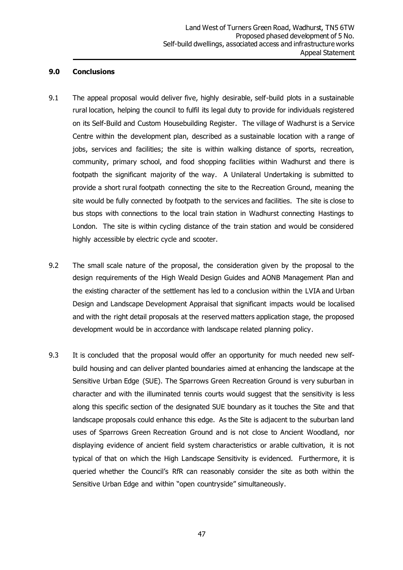#### **9.0 Conclusions**

- 9.1 The appeal proposal would deliver five, highly desirable, self-build plots in a sustainable rural location, helping the council to fulfil its legal duty to provide for individuals registered on its Self-Build and Custom Housebuilding Register. The village of Wadhurst is a Service Centre within the development plan, described as a sustainable location with a range of jobs, services and facilities; the site is within walking distance of sports, recreation, community, primary school, and food shopping facilities within Wadhurst and there is footpath the significant majority of the way. A Unilateral Undertaking is submitted to provide a short rural footpath connecting the site to the Recreation Ground, meaning the site would be fully connected by footpath to the services and facilities. The site is close to bus stops with connections to the local train station in Wadhurst connecting Hastings to London. The site is within cycling distance of the train station and would be considered highly accessible by electric cycle and scooter.
- 9.2 The small scale nature of the proposal, the consideration given by the proposal to the design requirements of the High Weald Design Guides and AONB Management Plan and the existing character of the settlement has led to a conclusion within the LVIA and Urban Design and Landscape Development Appraisal that significant impacts would be localised and with the right detail proposals at the reserved matters application stage, the proposed development would be in accordance with landscape related planning policy.
- 9.3 It is concluded that the proposal would offer an opportunity for much needed new selfbuild housing and can deliver planted boundaries aimed at enhancing the landscape at the Sensitive Urban Edge (SUE). The Sparrows Green Recreation Ground is very suburban in character and with the illuminated tennis courts would suggest that the sensitivity is less along this specific section of the designated SUE boundary as it touches the Site and that landscape proposals could enhance this edge. As the Site is adjacent to the suburban land uses of Sparrows Green Recreation Ground and is not close to Ancient Woodland, nor displaying evidence of ancient field system characteristics or arable cultivation, it is not typical of that on which the High Landscape Sensitivity is evidenced. Furthermore, it is queried whether the Council's RfR can reasonably consider the site as both within the Sensitive Urban Edge and within "open countryside" simultaneously.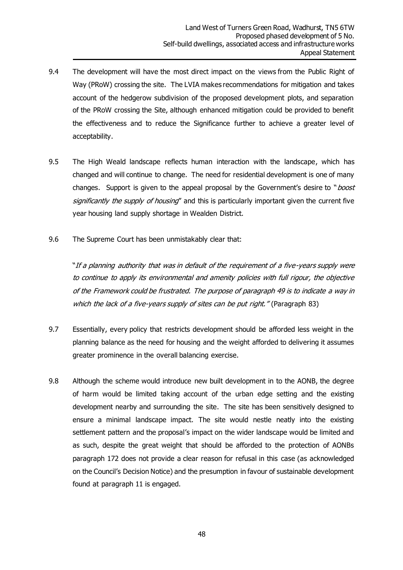- 9.4 The development will have the most direct impact on the views from the Public Right of Way (PRoW) crossing the site. The LVIA makes recommendations for mitigation and takes account of the hedgerow subdivision of the proposed development plots, and separation of the PRoW crossing the Site, although enhanced mitigation could be provided to benefit the effectiveness and to reduce the Significance further to achieve a greater level of acceptability.
- 9.5 The High Weald landscape reflects human interaction with the landscape, which has changed and will continue to change. The need for residential development is one of many changes. Support is given to the appeal proposal by the Government's desire to "*boost* significantly the supply of housing" and this is particularly important given the current five year housing land supply shortage in Wealden District.
- 9.6 The Supreme Court has been unmistakably clear that:

"If a planning authority that was in default of the requirement of a five-years supply were to continue to apply its environmental and amenity policies with full rigour, the objective of the Framework could be frustrated. The purpose of paragraph 49 is to indicate a way in which the lack of a five-years supply of sites can be put right." (Paragraph 83)

- 9.7 Essentially, every policy that restricts development should be afforded less weight in the planning balance as the need for housing and the weight afforded to delivering it assumes greater prominence in the overall balancing exercise.
- 9.8 Although the scheme would introduce new built development in to the AONB, the degree of harm would be limited taking account of the urban edge setting and the existing development nearby and surrounding the site. The site has been sensitively designed to ensure a minimal landscape impact. The site would nestle neatly into the existing settlement pattern and the proposal's impact on the wider landscape would be limited and as such, despite the great weight that should be afforded to the protection of AONBs paragraph 172 does not provide a clear reason for refusal in this case (as acknowledged on the Council's Decision Notice) and the presumption in favour of sustainable development found at paragraph 11 is engaged.